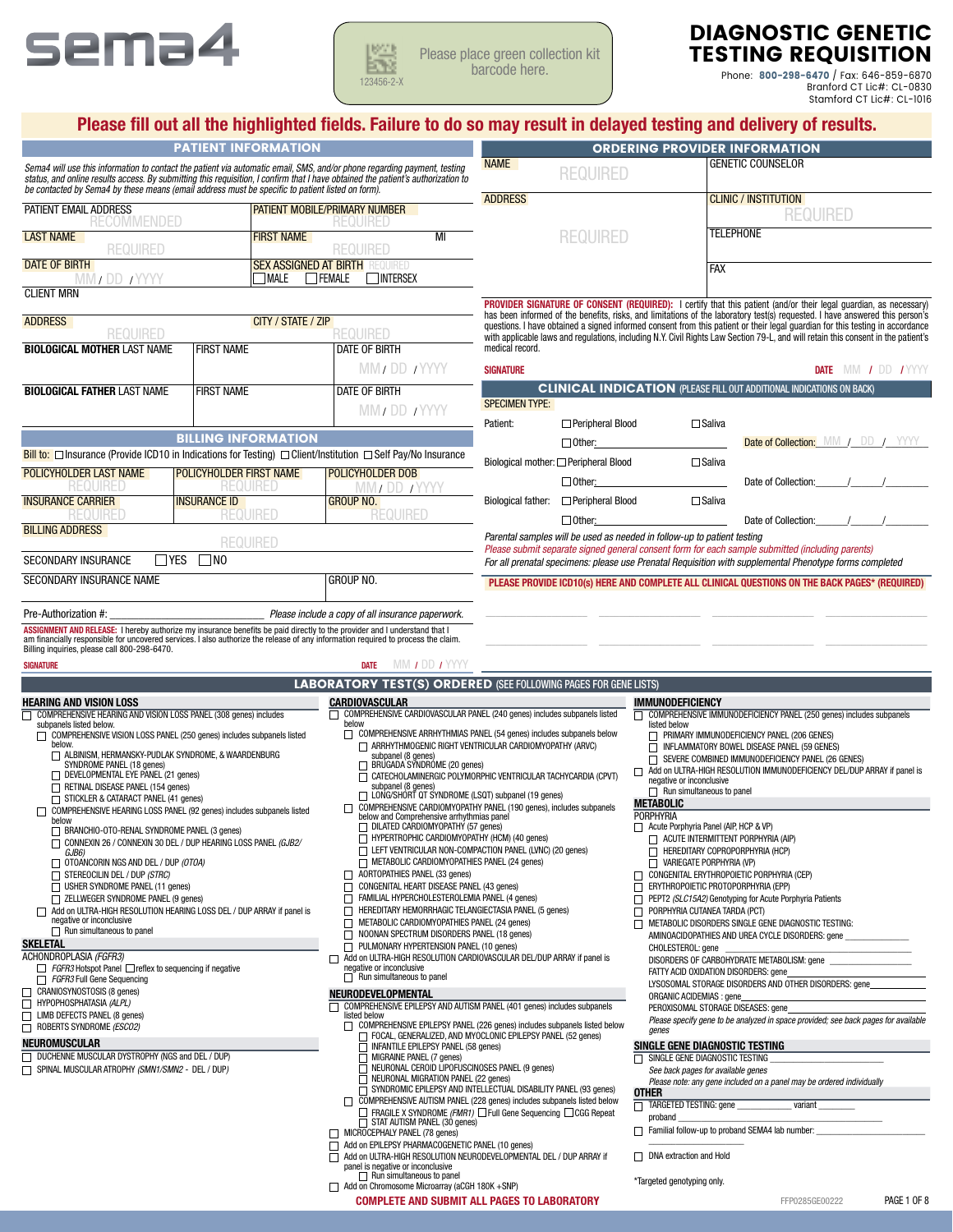



Please place green collection kit barcode here.

# DIAGNOSTIC GENETIC TESTING REQUISITION

Phone: 800-298-6470 / Fax: 646-859-6870 Branford CT Lic#: CL-0830 Stamford CT Lic#: CL-1016

|                                                                                                                                                                                                                                                              |                         | <b>PATIENT INFORMATION</b> |                                                                                                                                                          | Please fill out all the highlighted fields. Failure to do so may result in delayed testing and delivery of results.<br><b>ORDERING PROVIDER INFORMATION</b>                                               |                                       |                                                                         |                                                                                                                                                                                                                                                               |  |
|--------------------------------------------------------------------------------------------------------------------------------------------------------------------------------------------------------------------------------------------------------------|-------------------------|----------------------------|----------------------------------------------------------------------------------------------------------------------------------------------------------|-----------------------------------------------------------------------------------------------------------------------------------------------------------------------------------------------------------|---------------------------------------|-------------------------------------------------------------------------|---------------------------------------------------------------------------------------------------------------------------------------------------------------------------------------------------------------------------------------------------------------|--|
| Sema4 will use this information to contact the patient via automatic email, SMS, and/or phone regarding payment, testing<br>status, and online results access. By submitting this requisition, I confirm that I have obtained the patient's authorization to |                         |                            |                                                                                                                                                          | <b>NAME</b>                                                                                                                                                                                               | <b>REQUIRED</b>                       |                                                                         | <b>GENETIC COUNSELOR</b>                                                                                                                                                                                                                                      |  |
| be contacted by Sema4 by these means (email address must be specific to patient listed on form).                                                                                                                                                             |                         |                            |                                                                                                                                                          | <b>ADDRESS</b>                                                                                                                                                                                            |                                       |                                                                         | <b>CLINIC / INSTITUTION</b>                                                                                                                                                                                                                                   |  |
| PATIENT EMAIL ADDRESS<br><b>RECOMMENDED</b>                                                                                                                                                                                                                  |                         |                            | PATIENT MOBILE/PRIMARY NUMBER<br>REQUIRED                                                                                                                |                                                                                                                                                                                                           |                                       |                                                                         | <b>REQUIRED</b>                                                                                                                                                                                                                                               |  |
| <b>LAST NAME</b><br><b>REQUIRED</b>                                                                                                                                                                                                                          |                         | <b>FIRST NAME</b>          | MI<br><b>REQUIRED</b>                                                                                                                                    |                                                                                                                                                                                                           | <b>REQUIRED</b>                       |                                                                         | <b>TELEPHONE</b>                                                                                                                                                                                                                                              |  |
| <b>DATE OF BIRTH</b><br><b>MALE</b><br>VIVI DD IYYYY                                                                                                                                                                                                         |                         |                            | <b>SEX ASSIGNED AT BIRTH REQUIRED</b><br>FEMALE<br>INTERSEX                                                                                              |                                                                                                                                                                                                           |                                       |                                                                         | <b>FAX</b>                                                                                                                                                                                                                                                    |  |
| <b>CLIENT MRN</b>                                                                                                                                                                                                                                            |                         |                            |                                                                                                                                                          |                                                                                                                                                                                                           |                                       |                                                                         | PROVIDER SIGNATURE OF CONSENT (REQUIRED): I certify that this patient (and/or their legal quardian, as necessary)                                                                                                                                             |  |
| <b>ADDRESS</b>                                                                                                                                                                                                                                               |                         | CITY / STATE / ZIP         |                                                                                                                                                          |                                                                                                                                                                                                           |                                       |                                                                         | has been informed of the benefits, risks, and limitations of the laboratory test(s) requested. I have answered this person's<br>questions. I have obtained a signed informed consent from this patient or their legal guardian for this testing in accordance |  |
| REQUIRED<br><b>BIOLOGICAL MOTHER LAST NAME</b>                                                                                                                                                                                                               | <b>FIRST NAME</b>       |                            | REQUIRED<br><b>DATE OF BIRTH</b>                                                                                                                         | medical record.                                                                                                                                                                                           |                                       |                                                                         | with applicable laws and regulations, including N.Y. Civil Rights Law Section 79-L, and will retain this consent in the patient's                                                                                                                             |  |
|                                                                                                                                                                                                                                                              |                         |                            | MM / DD / YYYY                                                                                                                                           | <b>SIGNATURE</b>                                                                                                                                                                                          |                                       |                                                                         | DATE MM / DD /YYYY                                                                                                                                                                                                                                            |  |
| <b>BIOLOGICAL FATHER LAST NAME</b>                                                                                                                                                                                                                           | <b>FIRST NAME</b>       |                            | <b>DATE OF BIRTH</b>                                                                                                                                     |                                                                                                                                                                                                           |                                       |                                                                         | <b>CLINICAL INDICATION (PLEASE FILL OUT ADDITIONAL INDICATIONS ON BACK)</b>                                                                                                                                                                                   |  |
|                                                                                                                                                                                                                                                              |                         |                            | MM / DD / YYYY                                                                                                                                           | <b>SPECIMEN TYPE:</b><br>Patient:                                                                                                                                                                         | $\Box$ Peripheral Blood               | $\Box$ Saliva                                                           |                                                                                                                                                                                                                                                               |  |
|                                                                                                                                                                                                                                                              |                         | <b>BILLING INFORMATION</b> |                                                                                                                                                          |                                                                                                                                                                                                           | $\Box$ Other:                         |                                                                         | <b>Date of Collection:</b> MM / DD /                                                                                                                                                                                                                          |  |
| <b>Bill to:</b> $\Box$ Insurance (Provide ICD10 in Indications for Testing) $\Box$ Client/Institution $\Box$ Self Pay/No Insurance                                                                                                                           |                         |                            |                                                                                                                                                          |                                                                                                                                                                                                           | Biological mother: □ Peripheral Blood | $\Box$ Saliva                                                           |                                                                                                                                                                                                                                                               |  |
| POLICYHOLDER LAST NAME                                                                                                                                                                                                                                       | POLICYHOLDER FIRST NAME | KEQUIKEL                   | POLICYHOLDER DOB<br><b>WW/DD/YYYY</b>                                                                                                                    |                                                                                                                                                                                                           | $\Box$ Other:                         |                                                                         | Date of Collection:                                                                                                                                                                                                                                           |  |
| <b>INSURANCE CARRIER</b><br>R-0UR-D                                                                                                                                                                                                                          | <b>INSURANCE ID</b>     | <b>REQUIRED</b>            | <b>GROUP NO.</b><br><b>REQUIRED</b>                                                                                                                      |                                                                                                                                                                                                           | Biological father: □ Peripheral Blood | $\Box$ Saliva                                                           |                                                                                                                                                                                                                                                               |  |
| <b>BILLING ADDRESS</b>                                                                                                                                                                                                                                       |                         | <b>REQUIRED</b>            |                                                                                                                                                          |                                                                                                                                                                                                           | $\Box$ Other:                         | Parental samples will be used as needed in follow-up to patient testing | Date of Collection:                                                                                                                                                                                                                                           |  |
| $\Box$ Yes<br>SECONDARY INSURANCE                                                                                                                                                                                                                            | $\square$ No            |                            |                                                                                                                                                          |                                                                                                                                                                                                           |                                       |                                                                         | Please submit separate signed general consent form for each sample submitted (including parents)                                                                                                                                                              |  |
| <b>SECONDARY INSURANCE NAME</b>                                                                                                                                                                                                                              |                         |                            | <b>GROUP NO.</b>                                                                                                                                         | For all prenatal specimens: please use Prenatal Requisition with supplemental Phenotype forms completed<br>PLEASE PROVIDE ICD10(s) HERE AND COMPLETE ALL CLINICAL QUESTIONS ON THE BACK PAGES* (REQUIRED) |                                       |                                                                         |                                                                                                                                                                                                                                                               |  |
| Pre-Authorization #:                                                                                                                                                                                                                                         |                         |                            | Please include a copy of all insurance paperwork.                                                                                                        |                                                                                                                                                                                                           |                                       |                                                                         |                                                                                                                                                                                                                                                               |  |
| Billing inquiries, please call 800-298-6470.<br><b>SIGNATURE</b>                                                                                                                                                                                             |                         |                            | MM / DD / YYYY<br><b>DATE</b><br><b>LABORATORY TEST(S) ORDERED (SEE FOLLOWING PAGES FOR GENE LISTS)</b>                                                  |                                                                                                                                                                                                           |                                       |                                                                         |                                                                                                                                                                                                                                                               |  |
| <b>HEARING AND VISION LOSS</b>                                                                                                                                                                                                                               |                         |                            |                                                                                                                                                          |                                                                                                                                                                                                           |                                       |                                                                         |                                                                                                                                                                                                                                                               |  |
| COMPREHENSIVE HEARING AND VISION LOSS PANEL (308 genes) includes<br>П<br>subpanels listed below.                                                                                                                                                             |                         |                            | CARDIOVASCULAR                                                                                                                                           |                                                                                                                                                                                                           |                                       | <b>IMMUNODEFICIENCY</b>                                                 |                                                                                                                                                                                                                                                               |  |
| COMPREHENSIVE VISION LOSS PANEL (250 genes) includes subpanels listed                                                                                                                                                                                        |                         |                            | COMPREHENSIVE CARDIOVASCULAR PANEL (240 genes) includes subpanels listed<br>$\mathsf{L}$<br>below                                                        |                                                                                                                                                                                                           |                                       | П<br>listed below                                                       | COMPREHENSIVE IMMUNODEFICIENCY PANEL (250 genes) includes subpanels                                                                                                                                                                                           |  |
| below.                                                                                                                                                                                                                                                       |                         |                            | COMPREHENSIVE ARRHYTHMIAS PANEL (54 genes) includes subpanels below<br>ARRHYTHMOGENIC RIGHT VENTRICULAR CARDIOMYOPATHY (ARVC)                            |                                                                                                                                                                                                           |                                       | П                                                                       | PRIMARY IMMUNODEFICIENCY PANEL (206 GENES)                                                                                                                                                                                                                    |  |
| ALBINISM, HERMANSKY-PUDLAK SYNDROME, & WAARDENBURG<br>SYNDROME PANEL (18 genes)                                                                                                                                                                              |                         |                            | subpanel (8 genes)<br>BRUGADA SYNDROME (20 genes)                                                                                                        |                                                                                                                                                                                                           |                                       |                                                                         | INFLAMMATORY BOWEL DISEASE PANEL (59 GENES)<br>SEVERE COMBINED IMMUNODEFICIENCY PANEL (26 GENES)                                                                                                                                                              |  |
| DEVELOPMENTAL EYE PANEL (21 genes)<br>RETINAL DISEASE PANEL (154 genes)                                                                                                                                                                                      |                         |                            | CATECHOLAMINERGIC POLYMORPHIC VENTRICULAR TACHYCARDIA (CPVT)<br>subpanel (8 genes)                                                                       |                                                                                                                                                                                                           |                                       | negative or inconclusive                                                |                                                                                                                                                                                                                                                               |  |
| STICKLER & CATARACT PANEL (41 genes)                                                                                                                                                                                                                         |                         |                            | □ LONG/SHORT QT SYNDROME (LSQT) subpanel (19 genes)<br>COMPREHENSIVE CARDIOMYOPATHY PANEL (190 genes), includes subpanels                                |                                                                                                                                                                                                           |                                       | $\Box$ Run simultaneous to panel<br><b>METABOLIC</b>                    |                                                                                                                                                                                                                                                               |  |
| COMPREHENSIVE HEARING LOSS PANEL (92 genes) includes subpanels listed<br>below                                                                                                                                                                               |                         |                            | below and Comprehensive arrhythmias panel<br>$\Box$ DILATED CARDIOMYOPATHY (57 genes)                                                                    |                                                                                                                                                                                                           |                                       | PORPHYRIA<br>Acute Porphyria Panel (AIP, HCP & VP)                      |                                                                                                                                                                                                                                                               |  |
| □ BRANCHIO-OTO-RENAL SYNDROME PANEL (3 genes)<br>CONNEXIN 26 / CONNEXIN 30 DEL / DUP HEARING LOSS PANEL (GJB2/                                                                                                                                               |                         |                            | HYPERTROPHIC CARDIOMYOPATHY (HCM) (40 genes)<br>T LEFT VENTRICULAR NON-COMPACTION PANEL (LVNC) (20 genes)                                                |                                                                                                                                                                                                           |                                       |                                                                         | Add on ULTRA-HIGH RESOLUTION IMMUNODEFICIENCY DEL/DUP ARRAY if panel is<br>ACUTE INTERMITTENT PORPHYRIA (AIP)                                                                                                                                                 |  |
| GJB6)<br>$\Box$ Otoancorin NGS and DEL / DUP (OTOA)                                                                                                                                                                                                          |                         |                            | METABOLIC CARDIOMYOPATHIES PANEL (24 genes)                                                                                                              |                                                                                                                                                                                                           |                                       | VARIEGATE PORPHYRIA (VP)                                                | T HEREDITARY COPROPORPHYRIA (HCP)                                                                                                                                                                                                                             |  |
| STEREOCILIN DEL / DUP (STRC)<br>USHER SYNDROME PANEL (11 genes)                                                                                                                                                                                              |                         |                            | $\Box$ AORTOPATHIES PANEL (33 genes)<br>CONGENITAL HEART DISEASE PANEL (43 genes)<br>П                                                                   |                                                                                                                                                                                                           |                                       | ERYTHROPOIETIC PROTOPORPHYRIA (EPP)                                     | CONGENITAL ERYTHROPOIETIC PORPHYRIA (CEP)                                                                                                                                                                                                                     |  |
| □ ZELLWEGER SYNDROME PANEL (9 genes)<br>Add on ULTRA-HIGH RESOLUTION HEARING LOSS DEL / DUP ARRAY if panel is                                                                                                                                                |                         |                            | FAMILIAL HYPERCHOLESTEROLEMIA PANEL (4 genes)<br>□<br>HEREDITARY HEMORRHAGIC TELANGIECTASIA PANEL (5 genes)<br>П                                         |                                                                                                                                                                                                           |                                       | $\Box$<br>PORPHYRIA CUTANEA TARDA (PCT)                                 | PEPT2 (SLC15A2) Genotyping for Acute Porphyria Patients                                                                                                                                                                                                       |  |
| negative or inconclusive<br>$\Box$ Run simultaneous to panel                                                                                                                                                                                                 |                         |                            | METABOLIC CARDIOMYOPATHIES PANEL (24 genes)                                                                                                              |                                                                                                                                                                                                           |                                       |                                                                         | METABOLIC DISORDERS SINGLE GENE DIAGNOSTIC TESTING:                                                                                                                                                                                                           |  |
|                                                                                                                                                                                                                                                              |                         |                            | □<br>NOONAN SPECTRUM DISORDERS PANEL (18 genes)<br>$\Box$ PULMONARY HYPERTENSION PANEL (10 genes)                                                        |                                                                                                                                                                                                           |                                       | CHOLESTEROL: gene                                                       | AMINOACIDOPATHIES AND UREA CYCLE DISORDERS: gene                                                                                                                                                                                                              |  |
| $FGFR3$ Hotspot Panel $\Box$ reflex to sequencing if negative                                                                                                                                                                                                |                         |                            | Add on ULTRA-HIGH RESOLUTION CARDIOVASCULAR DEL/DUP ARRAY if panel is<br>negative or inconclusive                                                        |                                                                                                                                                                                                           |                                       |                                                                         | DISORDERS OF CARBOHYDRATE METABOLISM: gene<br>FATTY ACID OXIDATION DISORDERS: gene                                                                                                                                                                            |  |
| FGFR3 Full Gene Sequencing<br>CRANIOSYNOSTOSIS (8 genes)                                                                                                                                                                                                     |                         |                            | $\Box$ Run simultaneous to panel<br><b>NEURODEVELOPMENTAL</b>                                                                                            |                                                                                                                                                                                                           |                                       |                                                                         | LYSOSOMAL STORAGE DISORDERS AND OTHER DISORDERS: gene                                                                                                                                                                                                         |  |
| HYPOPHOSPHATASIA (ALPL)                                                                                                                                                                                                                                      |                         |                            | COMPREHENSIVE EPILEPSY AND AUTISM PANEL (401 genes) includes subpanels<br>listed below                                                                   |                                                                                                                                                                                                           |                                       | <b>ORGANIC ACIDEMIAS : gene</b>                                         | PEROXISOMAL STORAGE DISEASES: gene                                                                                                                                                                                                                            |  |
|                                                                                                                                                                                                                                                              |                         |                            | COMPREHENSIVE EPILEPSY PANEL (226 genes) includes subpanels listed below<br>FOCAL, GENERALIZED, AND MYOCLONIC EPILEPSY PANEL (52 genes)                  |                                                                                                                                                                                                           |                                       | aenes                                                                   |                                                                                                                                                                                                                                                               |  |
|                                                                                                                                                                                                                                                              |                         |                            | INFANTILE EPILEPSY PANEL (58 genes)                                                                                                                      |                                                                                                                                                                                                           |                                       | SINGLE GENE DIAGNOSTIC TESTING                                          |                                                                                                                                                                                                                                                               |  |
|                                                                                                                                                                                                                                                              |                         |                            | MIGRAINE PANEL (7 genes)<br>NEURONAL CEROID LIPOFUSCINOSES PANEL (9 genes)                                                                               |                                                                                                                                                                                                           |                                       | SINGLE GENE DIAGNOSTIC TESTING<br>See back pages for available genes    |                                                                                                                                                                                                                                                               |  |
|                                                                                                                                                                                                                                                              |                         |                            | NEURONAL MIGRATION PANEL (22 genes)<br>SYNDROMIC EPILEPSY AND INTELLECTUAL DISABILITY PANEL (93 genes)                                                   |                                                                                                                                                                                                           |                                       | OTHER                                                                   | Please note: any gene included on a panel may be ordered individually                                                                                                                                                                                         |  |
|                                                                                                                                                                                                                                                              |                         |                            | COMPREHENSIVE AUTISM PANEL (228 genes) includes subpanels listed below<br>$\Box$ FRAGILE X SYNDROME (FMR1) $\Box$ Full Gene Sequencing $\Box$ CGG Repeat |                                                                                                                                                                                                           |                                       | TARGETED TESTING: gene<br>proband                                       | variant                                                                                                                                                                                                                                                       |  |
|                                                                                                                                                                                                                                                              |                         |                            | STAT AUTISM PANEL (30 genes)<br>MICROCEPHALY PANEL (78 genes)                                                                                            |                                                                                                                                                                                                           |                                       |                                                                         | $\Box$ Familial follow-up to proband SEMA4 lab number:                                                                                                                                                                                                        |  |
|                                                                                                                                                                                                                                                              |                         |                            | Add on EPILEPSY PHARMACOGENETIC PANEL (10 genes)<br>Add on ULTRA-HIGH RESOLUTION NEURODEVELOPMENTAL DEL / DUP ARRAY if                                   |                                                                                                                                                                                                           |                                       | <b>DNA</b> extraction and Hold                                          | Please specify gene to be analyzed in space provided; see back pages for available                                                                                                                                                                            |  |
| <b>SKELETAL</b><br><b>ACHONDROPLASIA (FGFR3)</b><br>n.<br>П.<br>□ LIMB DEFECTS PANEL (8 genes)<br>ROBERTS SYNDROME (ESCO2)<br>Neuromuscular<br>DUCHENNE MUSCULAR DYSTROPHY (NGS and DEL / DUP)<br>SPINAL MUSCULAR ATROPHY (SMN1/SMN2 - DEL / DUP)            |                         |                            | panel is negative or inconclusive<br>$\Box$ Run simultaneous to panel<br>Add on Chromosome Microarray (aCGH 180K +SNP)                                   |                                                                                                                                                                                                           |                                       | *Targeted genotyping only.                                              |                                                                                                                                                                                                                                                               |  |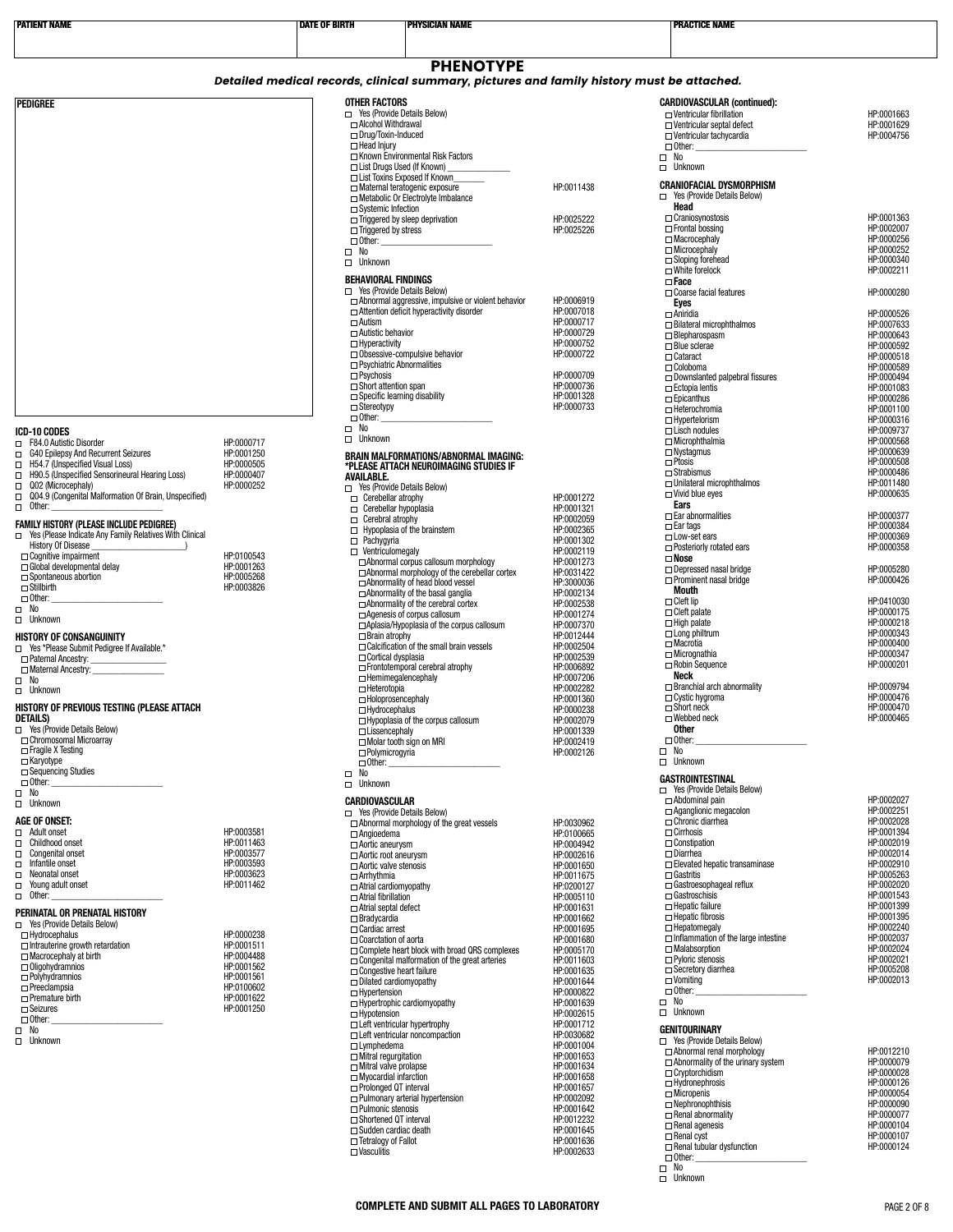| <b>PATIENT NAME</b>                                                                      |                          | <b>DATE OF BIRTH</b>                                        | <b>PHYSICIAN NAME</b>                                                                                         |                          | <b>PRACTICE NAME</b>                                                    |                          |
|------------------------------------------------------------------------------------------|--------------------------|-------------------------------------------------------------|---------------------------------------------------------------------------------------------------------------|--------------------------|-------------------------------------------------------------------------|--------------------------|
|                                                                                          |                          |                                                             |                                                                                                               |                          |                                                                         |                          |
|                                                                                          |                          |                                                             | <b>PHENOTYPE</b><br>Detailed medical records, clinical summary, pictures and family history must be attached. |                          |                                                                         |                          |
|                                                                                          |                          | <b>OTHER FACTORS</b>                                        |                                                                                                               |                          | <b>CARDIOVASCULAR (continued):</b>                                      |                          |
| PEDIGREE                                                                                 |                          | □ Yes (Provide Details Below)                               |                                                                                                               |                          | $\Box$ Ventricular fibrillation                                         | HP:0001663               |
|                                                                                          |                          | □ Alcohol Withdrawal<br>□ Drug/Toxin-Induced                |                                                                                                               |                          | $\Box$ Ventricular septal defect<br>□ Ventricular tachycardia           | HP:0001629<br>HP:0004756 |
|                                                                                          |                          | Head Injury                                                 | □ Known Environmental Risk Factors                                                                            |                          | $\Box$ Other:<br>$\square$ No                                           |                          |
|                                                                                          |                          |                                                             | □ List Drugs Used (If Known)<br>□ List Toxins Exposed If Known                                                |                          | $\Box$ Unknown                                                          |                          |
|                                                                                          |                          |                                                             | $\Box$ Maternal teratogenic exposure<br>Metabolic Or Electrolyte Imbalance                                    | HP:0011438               | <b>CRANIOFACIAL DYSMORPHISM</b><br>□ Yes (Provide Details Below)        |                          |
|                                                                                          |                          | $\Box$ Systemic Infection                                   | $\Box$ Triggered by sleep deprivation                                                                         | HP:0025222               | Head<br>□ Craniosynostosis                                              | HP:0001363               |
|                                                                                          |                          | $\Box$ Triggered by stress<br>$\Box$ Other:                 |                                                                                                               | HP:0025226               | $\Box$ Frontal bossing<br>Macrocephaly                                  | HP:0002007<br>HP:0000256 |
|                                                                                          |                          | $\square$ No                                                |                                                                                                               |                          | Microcephaly<br>$\Box$ Sloping forehead                                 | HP:0000252<br>HP:0000340 |
|                                                                                          |                          | $\Box$ Unknown<br><b>BEHAVIORAL FINDINGS</b>                |                                                                                                               |                          | $\square$ White forelock                                                | HP:0002211               |
|                                                                                          |                          | □ Yes (Provide Details Below)                               |                                                                                                               |                          | $\Box$ Face<br>$\Box$ Coarse facial features                            | HP:0000280               |
|                                                                                          |                          |                                                             | $\Box$ Abnormal aggressive, impulsive or violent behavior<br>□ Attention deficit hyperactivity disorder       | HP:0006919<br>HP:0007018 | Eyes<br>$\Box$ Aniridia                                                 | HP:0000526               |
|                                                                                          |                          | $\Box$ Autism<br>□ Autistic behavior                        |                                                                                                               | HP:0000717<br>HP:0000729 | $\Box$ Bilateral microphthalmos<br>$\Box$ Blepharospasm                 | HP:0007633<br>HP:0000643 |
|                                                                                          |                          | $\Box$ Hyperactivity                                        | $\Box$ Obsessive-compulsive behavior                                                                          | HP:0000752<br>HP:0000722 | $\Box$ Blue sclerae<br>$\Box$ Cataract                                  | HP:0000592<br>HP:0000518 |
|                                                                                          |                          | $\Box$ Psychiatric Abnormalities<br>$\Box$ Psychosis        |                                                                                                               | HP:0000709               | □ Coloboma                                                              | HP:0000589               |
|                                                                                          |                          | $\Box$ Short attention span                                 |                                                                                                               | HP:0000736               | $\Box$ Downslanted palpebral fissures<br>$\Box$ Ectopia lentis          | HP:0000494<br>HP:0001083 |
|                                                                                          |                          | □ Specific learning disability<br>$\Box$ Stereotypy         |                                                                                                               | HP:0001328<br>HP:0000733 | $\Box$ Epicanthus<br>□ Heterochromia                                    | HP:0000286<br>HP:0001100 |
| ICD-10 CODES                                                                             |                          | $\Box$ Other:<br>$\square$ No                               |                                                                                                               |                          | $\Box$ Hypertelorism<br>$\Box$ Lisch nodules                            | HP:0000316<br>HP:0009737 |
| F84.0 Autistic Disorder                                                                  | HP:0000717               | Unknown                                                     |                                                                                                               |                          | □ Microphthalmia<br>$\Box$ Nystagmus                                    | HP:0000568<br>HP:0000639 |
| $\Box$<br>G40 Epilepsy And Recurrent Seizures<br>H54.7 (Unspecified Visual Loss)         | HP:0001250<br>HP:0000505 |                                                             | <b>BRAIN MALFORMATIONS/ABNORMAL IMAGING:</b><br>*PLEASE ATTACH NEUROIMAGING STUDIES IF                        |                          | $\Box$ Ptosis                                                           | HP:0000508               |
| $\Box$<br>H90.5 (Unspecified Sensorineural Hearing Loss)<br>$\Box$<br>Q02 (Microcephaly) | HP:0000407<br>HP:0000252 | <b>AVAILABLE.</b><br>□ Yes (Provide Details Below)          |                                                                                                               |                          | $\Box$ Strabismus<br>□ Unilateral microphthalmos                        | HP:0000486<br>HP:0011480 |
| Q04.9 (Congenital Malformation Of Brain, Unspecified)<br>$\Box$ Other:                   |                          | $\Box$ Cerebellar atrophy<br>$\Box$ Cerebellar hypoplasia   |                                                                                                               | HP:0001272<br>HP:0001321 | $\Box$ Vivid blue eyes<br>Ears                                          | HP:0000635               |
| <b>FAMILY HISTORY (PLEASE INCLUDE PEDIGREE)</b>                                          |                          | □ Cerebral atrophy                                          |                                                                                                               | HP:0002059               | $\square$ Ear abnormalities<br>$\Box$ Ear tags                          | HP:0000377<br>HP:0000384 |
| □ Yes (Please Indicate Any Family Relatives With Clinical<br><b>History Of Disease</b>   |                          | $\Box$ Pachygyria                                           | $\Box$ Hypoplasia of the brainstem                                                                            | HP:0002365<br>HP:0001302 | □ Low-set ears<br>□ Posteriorly rotated ears                            | HP:0000369<br>HP:0000358 |
| $\Box$ Cognitive impairment<br>□ Global developmental delay                              | HP:0100543<br>HP:0001263 | $\Box$ Ventriculomegaly                                     | Abnormal corpus callosum morphology                                                                           | HP:0002119<br>HP:0001273 | $\Box$ Nose                                                             |                          |
| □ Spontaneous abortion                                                                   | HP:0005268               |                                                             | $\Box$ Abnormal morphology of the cerebellar cortex<br>□ Abnormality of head blood vessel                     | HP:0031422<br>HP:3000036 | $\Box$ Depressed nasal bridge<br>□ Prominent nasal bridge               | HP:0005280<br>HP:0000426 |
| $\Box$ Stillbirth<br>$\Box$ Other:                                                       | HP:0003826               |                                                             | $\Box$ Abnormality of the basal ganglia<br>□ Abnormality of the cerebral cortex                               | HP:0002134<br>HP:0002538 | Mouth<br>$\Box$ Cleft lip                                               | HP:0410030               |
| $\square$ No<br>$\Box$ Unknown                                                           |                          |                                                             | $\Box$ Agenesis of corpus callosum                                                                            | HP:0001274               | $\Box$ Cleft palate<br>$\Box$ High palate                               | HP:0000175<br>HP:0000218 |
| <b>HISTORY OF CONSANGUINITY</b>                                                          |                          | $\Box$ Brain atrophy                                        | $\Box$ Aplasia/Hypoplasia of the corpus callosum                                                              | HP:0007370<br>HP:0012444 | $\Box$ Long philtrum<br>□ Macrotia                                      | HP:0000343<br>HP:0000400 |
| The Yes *Please Submit Pedigree If Available.*                                           |                          | □ Cortical dysplasia                                        | $\Box$ Calcification of the small brain vessels                                                               | HP:0002504<br>HP:0002539 | $\Box$ Micrognathia                                                     | HP:0000347               |
| □ Maternal Ancestry:<br>$\square$ No                                                     |                          |                                                             | □ Frontotemporal cerebral atrophy<br>$\Box$ Hemimegalencephaly                                                | HP:0006892<br>HP:0007206 | $\Box$ Robin Sequence<br>Neck                                           | HP:0000201               |
| $\Box$ Unknown                                                                           |                          | $\Box$ Heterotopia<br>□ Holoprosencephaly                   |                                                                                                               | HP:0002282<br>HP:0001360 | $\Box$ Branchial arch abnormality<br>$\Box$ Cystic hygroma              | HP:0009794<br>HP:0000476 |
| HISTORY OF PREVIOUS TESTING (PLEASE ATTACH<br><b>DETAILS)</b>                            |                          | $\Box$ Hydrocephalus                                        | $\Box$ Hypoplasia of the corpus callosum                                                                      | HP:0000238<br>HP:0002079 | □ Short neck<br>□ Webbed neck                                           | HP:0000470<br>HP:0000465 |
| □ Yes (Provide Details Below)<br>□ Chromosomal Microarray                                |                          | $\Box$ Lissencephaly                                        |                                                                                                               | HP:0001339               | Other<br>$\Box$ Other:                                                  |                          |
| $\Box$ Fraqile X Testing                                                                 |                          | □ Polymicrogyria                                            | Molar tooth sign on MRI                                                                                       | HP:0002419<br>HP:0002126 | $\square$ No                                                            |                          |
| □ Karyotype<br>$\Box$ Sequencing Studies                                                 |                          | $\Box$ Other:<br>$\Box$ No                                  |                                                                                                               |                          | $\Box$ Unknown<br><b>GASTROINTESTINAL</b>                               |                          |
| $\Box$ Other:<br>$\Box$ No                                                               |                          | $\Box$<br>Unknown                                           |                                                                                                               |                          | □ Yes (Provide Details Below)                                           |                          |
| $\Box$ Unknown                                                                           |                          | CARDIOVASCULAR<br>□ Yes (Provide Details Below)             |                                                                                                               |                          | □ Abdominal pain<br>□ Aganglionic megacolon                             | HP:0002027<br>HP:0002251 |
| <b>AGE OF ONSET:</b><br>$\Box$ Adult onset                                               | HP:0003581               | $\Box$ Angioedema                                           | $\Box$ Abnormal morphology of the great vessels                                                               | HP:0030962<br>HP:0100665 | Chronic diarrhea<br>$\Box$ Cirrhosis                                    | HP:0002028<br>HP:0001394 |
| □ Childhood onset<br>$\Box$<br>Congenital onset                                          | HP:0011463<br>HP:0003577 | □ Aortic aneurysm<br>□ Aortic root aneurysm                 |                                                                                                               | HP:0004942<br>HP:0002616 | $\Box$ Constipation<br>$\square$ Diarrhea                               | HP:0002019<br>HP:0002014 |
| $\Box$<br>Infantile onset<br>$\Box$ Neonatal onset                                       | HP:0003593<br>HP:0003623 | $\Box$ Aortic valve stenosis                                |                                                                                                               | HP:0001650               | $\Box$ Elevated hepatic transaminase<br>$\Box$ Gastritis                | HP:0002910<br>HP:0005263 |
| $\Box$ Young adult onset                                                                 | HP:0011462               | $\Box$ Arrhythmia<br>$\Box$ Atrial cardiomyopathy           |                                                                                                               | HP:0011675<br>HP:0200127 | □ Gastroesophageal reflux                                               | HP:0002020               |
| $\Box$ Other:<br>PERINATAL OR PRENATAL HISTORY                                           |                          | $\Box$ Atrial fibrillation<br>$\Box$ Atrial septal defect   |                                                                                                               | HP:0005110<br>HP:0001631 | □ Gastroschisis<br>$\Box$ Hepatic failure                               | HP:0001543<br>HP:0001399 |
| □ Yes (Provide Details Below)                                                            |                          | $\Box$ Bradycardia<br>□ Cardiac arrest                      |                                                                                                               | HP:0001662<br>HP:0001695 | $\Box$ Hepatic fibrosis<br>$\Box$ Hepatomegaly                          | HP:0001395<br>HP:0002240 |
| $\Box$ Hydrocephalus<br>$\Box$ Intrauterine growth retardation                           | HP:0000238<br>HP:0001511 | $\Box$ Coarctation of aorta                                 | $\Box$ Complete heart block with broad QRS complexes                                                          | HP:0001680<br>HP:0005170 | $\Box$ Inflammation of the large intestine<br>Malabsorption             | HP:0002037<br>HP:0002024 |
| $\Box$ Macrocephaly at birth<br>$\Box$ Oligohydramnios                                   | HP:0004488<br>HP:0001562 | $\Box$ Congestive heart failure                             | $\Box$ Congenital malformation of the great arteries                                                          | HP:0011603<br>HP:0001635 | $\Box$ Pyloric stenosis<br>□ Secretory diarrhea                         | HP:0002021<br>HP:0005208 |
| $\Box$ Polyhydramnios<br>$\Box$ Preeclampsia                                             | HP:0001561<br>HP:0100602 | $\Box$ Dilated cardiomyopathy                               |                                                                                                               | HP:0001644               | $\square$ Vomiting                                                      | HP:0002013               |
| $\Box$ Premature birth<br>$\Box$ Seizures                                                | HP:0001622<br>HP:0001250 | $\Box$ Hypertension                                         | $\Box$ Hypertrophic cardiomyopathy                                                                            | HP:0000822<br>HP:0001639 | $\Box$ Other:<br>$\square$ No                                           |                          |
| $\Box$ Other:                                                                            |                          | $\Box$ Hypotension                                          | $\Box$ Left ventricular hypertrophy                                                                           | HP:0002615<br>HP:0001712 | $\Box$ Unknown                                                          |                          |
| $\square$ No<br>$\Box$ Unknown                                                           |                          | $\Box$ Lymphedema                                           | $\Box$ Left ventricular noncompaction                                                                         | HP:0030682<br>HP:0001004 | <b>GENITOURINARY</b><br>□ Yes (Provide Details Below)                   |                          |
|                                                                                          |                          | $\Box$ Mitral regurgitation<br>$\Box$ Mitral valve prolapse |                                                                                                               | HP:0001653<br>HP:0001634 | □ Abnormal renal morphology<br>$\Box$ Abnormality of the urinary system | HP:0012210<br>HP:0000079 |
|                                                                                          |                          | $\Box$ Myocardial infarction                                |                                                                                                               | HP:0001658               | $\Box$ Cryptorchidism<br>Hydronephrosis                                 | HP:0000028<br>HP:0000126 |
|                                                                                          |                          | □ Prolonged QT interval                                     | $\Box$ Pulmonary arterial hypertension                                                                        | HP:0001657<br>HP:0002092 | $\Box$ Micropenis<br>$\Box$ Nephronophthisis                            | HP:0000054<br>HP:0000090 |
|                                                                                          |                          | $\Box$ Pulmonic stenosis<br>□ Shortened QT interval         |                                                                                                               | HP:0001642<br>HP:0012232 | $\Box$ Renal abnormality                                                | HP:0000077               |
|                                                                                          |                          | $\Box$ Sudden cardiac death<br>$\Box$ Tetralogy of Fallot   |                                                                                                               | HP:0001645<br>HP:0001636 | $\Box$ Renal agenesis<br>□ Renal cyst                                   | HP:0000104<br>HP:0000107 |
|                                                                                          |                          | $\Box$ Vasculitis                                           |                                                                                                               | HP:0002633               | $\Box$ Renal tubular dysfunction<br>$\Box$ Other:                       | HP:0000124               |
|                                                                                          |                          |                                                             |                                                                                                               |                          | $\square$ No<br>D Unknown                                               |                          |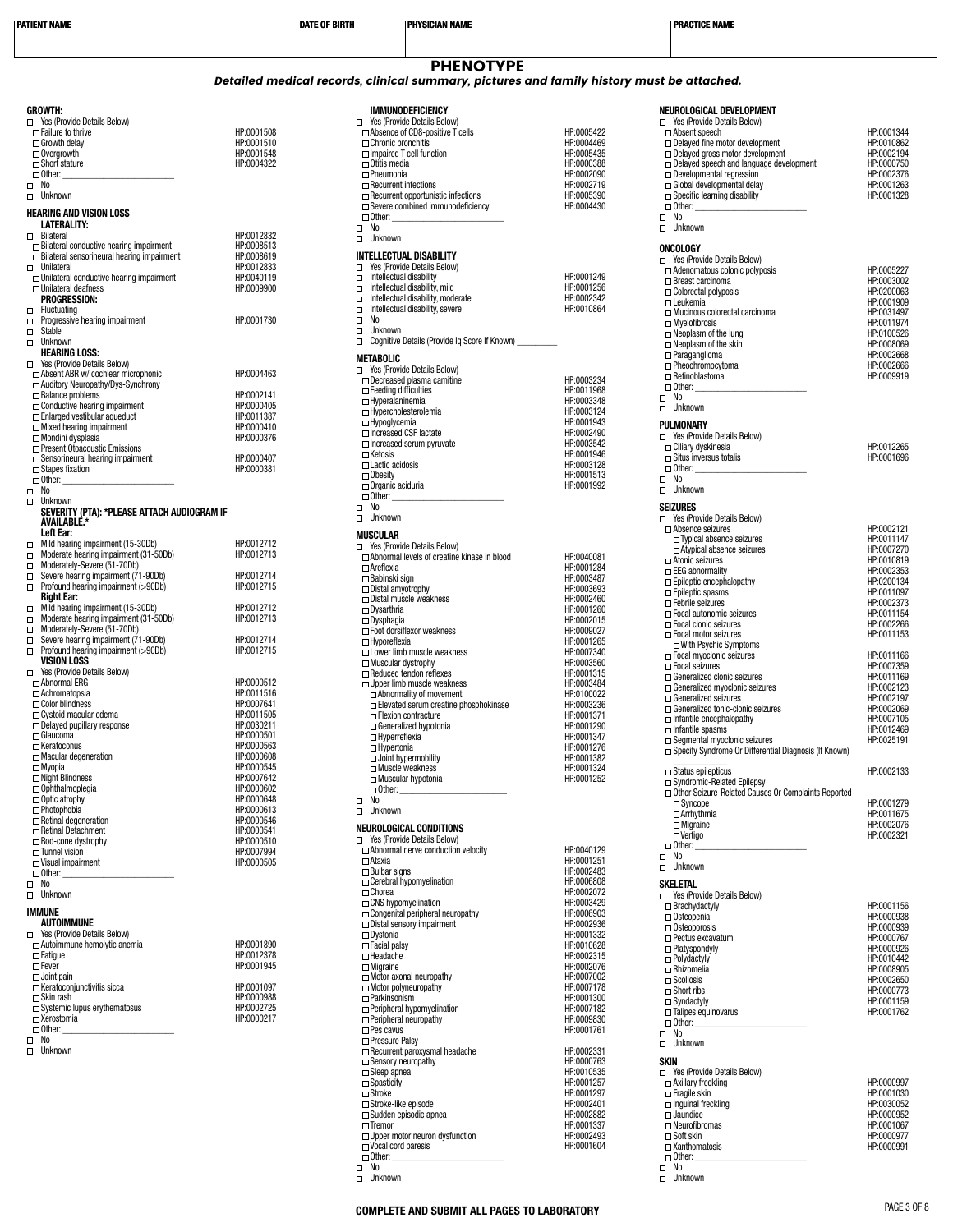| <b>PATIENT NAME</b>                                                                      |                          | <b>DATE OF BIRTH</b>                                | <b>PHYSICIAN NAME</b>                                                                                         |                          | <b>PRACTICE NAME</b>                                            |                          |
|------------------------------------------------------------------------------------------|--------------------------|-----------------------------------------------------|---------------------------------------------------------------------------------------------------------------|--------------------------|-----------------------------------------------------------------|--------------------------|
|                                                                                          |                          |                                                     |                                                                                                               |                          |                                                                 |                          |
|                                                                                          |                          |                                                     | <b>PHENOTYPE</b><br>Detailed medical records, clinical summary, pictures and family history must be attached. |                          |                                                                 |                          |
| <b>GROWTH:</b>                                                                           |                          |                                                     | <b>IMMUNODEFICIENCY</b>                                                                                       |                          | NEUROLOGICAL DEVELOPMENT                                        |                          |
| □ Yes (Provide Details Below)                                                            |                          |                                                     | □ Yes (Provide Details Below)                                                                                 |                          | □ Yes (Provide Details Below)                                   |                          |
| $\Box$ Failure to thrive<br>$\Box$ Growth delay                                          | HP:0001508<br>HP:0001510 | □ Chronic bronchitis                                | $\Box$ Absence of CD8-positive T cells                                                                        | HP:0005422<br>HP:0004469 | $\Box$ Absent speech<br>$\Box$ Delayed fine motor development   | HP:0001344<br>HP:0010862 |
| $\Box$ Overgrowth                                                                        | HP:0001548               |                                                     | $\Box$ Impaired T cell function                                                                               | HP:0005435               | $\Box$ Delayed gross motor development                          | HP:0002194               |
| $\Box$ Short stature                                                                     | HP:0004322               | $\Box$ Otitis media                                 |                                                                                                               | HP:0000388               | $\Box$ Delayed speech and language development                  | HP:0000750               |
| $\Box$ Other:<br>$\square$ No                                                            |                          | $\Box$ Pneumonia<br>$\Box$ Recurrent infections     |                                                                                                               | HP:0002090<br>HP:0002719 | $\Box$ Developmental regression<br>□ Global developmental delay | HP:0002376<br>HP:0001263 |
| D Unknown                                                                                |                          |                                                     | $\Box$ Recurrent opportunistic infections                                                                     | HP:0005390               | $\Box$ Specific learning disability                             | HP:0001328               |
| <b>HEARING AND VISION LOSS</b>                                                           |                          |                                                     | $\Box$ Severe combined immunodeficiency                                                                       | HP:0004430               | $\Box$ Other:                                                   |                          |
| LATERALITY:                                                                              |                          | $\Box$ Other:<br>$\square$ No                       |                                                                                                               |                          | $\Box$ No<br>$\Box$ Unknown                                     |                          |
| $\Box$ Bilateral                                                                         | HP:0012832               | $\Box$ Unknown                                      |                                                                                                               |                          |                                                                 |                          |
| $\Box$ Bilateral conductive hearing impairment                                           | HP:0008513               |                                                     | <b>INTELLECTUAL DISABILITY</b>                                                                                |                          | ONCOLOGY                                                        |                          |
| $\Box$ Bilateral sensorineural hearing impairment<br>□ Unilateral                        | HP:0008619<br>HP:0012833 | $\Box$                                              | Yes (Provide Details Below)                                                                                   |                          | □ Yes (Provide Details Below)                                   |                          |
| $\Box$ Unilateral conductive hearing impairment                                          | HP:0040119               | $\Box$                                              | Intellectual disability                                                                                       | HP:0001249               | $\Box$ Adenomatous colonic polyposis<br>$\Box$ Breast carcinoma | HP:0005227<br>HP:0003002 |
| $\Box$ Unilateral deafness                                                               | HP:0009900               | О                                                   | Intellectual disability, mild                                                                                 | HP:0001256               | $\Box$ Colorectal polyposis                                     | HP:0200063               |
| <b>PROGRESSION:</b><br>$\Box$ Fluctuating                                                |                          | $\Box$<br>$\Box$                                    | Intellectual disability, moderate<br>Intellectual disability, severe                                          | HP:0002342<br>HP:0010864 | $\Box$ Leukemia                                                 | HP:0001909               |
| $\Box$ Progressive hearing impairment                                                    | HP:0001730               | $\Box$<br>No                                        |                                                                                                               |                          | □ Mucinous colorectal carcinoma<br>$\Box$ Myelofibrosis         | HP:0031497<br>HP:0011974 |
| $\Box$ Stable                                                                            |                          | Unknown<br>$\Box$                                   |                                                                                                               |                          | $\Box$ Neoplasm of the lung                                     | HP:0100526               |
| D Unknown                                                                                |                          | $\Box$                                              | Cognitive Details (Provide Ig Score If Known)                                                                 |                          | $\Box$ Neoplasm of the skin                                     | HP:0008069               |
| <b>HEARING LOSS:</b><br>□ Yes (Provide Details Below)                                    |                          | <b>METABOLIC</b>                                    |                                                                                                               |                          | $\Box$ Paraganglioma                                            | HP:0002668               |
| $\Box$ Absent ABR w/ cochlear microphonic                                                | HP:0004463               |                                                     | □ Yes (Provide Details Below)                                                                                 |                          | □ Pheochromocytoma<br>$\Box$ Retinoblastoma                     | HP:0002666<br>HP:0009919 |
| □ Auditory Neuropathy/Dys-Synchrony                                                      |                          | $\Box$ Feeding difficulties                         | $\Box$ Decreased plasma carnitine                                                                             | HP:0003234<br>HP:0011968 | $\Box$ Other:                                                   |                          |
| $\Box$ Balance problems                                                                  | HP:0002141               | $\Box$ Hyperalaninemia                              |                                                                                                               | HP:0003348               | $\square$ No                                                    |                          |
| $\Box$ Conductive hearing impairment<br>$\Box$ Enlarged vestibular aqueduct              | HP:0000405<br>HP:0011387 | □ Hypercholesterolemia                              |                                                                                                               | HP:0003124               | $\Box$ Unknown                                                  |                          |
| $\Box$ Mixed hearing impairment                                                          | HP:0000410               | □ Hypoglycemia                                      |                                                                                                               | HP:0001943               | PULMONARY                                                       |                          |
| □ Mondini dysplasia                                                                      | HP:0000376               | □ Increased CSF lactate                             | $\Box$ Increased serum pyruvate                                                                               | HP:0002490<br>HP:0003542 | □ Yes (Provide Details Below)                                   |                          |
| □ Present Otoacoustic Emissions<br>$\Box$ Sensorineural hearing impairment               | HP:0000407               | $\Box$ Ketosis                                      |                                                                                                               | HP:0001946               | □ Ciliary dyskinesia<br>$\Box$ Situs inversus totalis           | HP:0012265<br>HP:0001696 |
| $\Box$ Stapes fixation                                                                   | HP:0000381               | $\Box$ Lactic acidosis                              |                                                                                                               | HP:0003128               | $\Box$ Other: $\Box$                                            |                          |
| $\Box$ Other:                                                                            |                          | $\Box$ Obesity<br>$\Box$ Organic aciduria           |                                                                                                               | HP:0001513<br>HP:0001992 | $\square$ No                                                    |                          |
| $\square$ No                                                                             |                          | $\Box$ Other:                                       |                                                                                                               |                          | $\Box$ Unknown                                                  |                          |
| $\Box$ Unknown<br>SEVERITY (PTA): *PLEASE ATTACH AUDIOGRAM IF                            |                          | $\square$ No                                        |                                                                                                               |                          | <b>SEIZURES</b>                                                 |                          |
| AVAILABLE *                                                                              |                          | □ Unknown                                           |                                                                                                               |                          | □ Yes (Provide Details Below)                                   |                          |
| Left Ear:                                                                                |                          | <b>MUSCULAR</b>                                     |                                                                                                               |                          | $\Box$ Absence seizures<br>$\Box$ Typical absence seizures      | HP:0002121<br>HP:0011147 |
| Mild hearing impairment (15-30Db)<br>$\Box$                                              | HP:0012712<br>HP:0012713 |                                                     | □ Yes (Provide Details Below)                                                                                 |                          | □ Atypical absence seizures                                     | HP:0007270               |
| $\Box$ Moderate hearing impairment (31-50Db)<br>Moderately-Severe (51-70Db)              |                          | $\Box$ Areflexia                                    | □ Abnormal levels of creatine kinase in blood                                                                 | HP:0040081<br>HP:0001284 | $\Box$ Atonic seizures                                          | HP:0010819               |
| Severe hearing impairment (71-90Db)<br>$\Box$                                            | HP:0012714               | □ Babinski sign                                     |                                                                                                               | HP:0003487               | □ EEG abnormality<br>$\Box$ Epileptic encephalopathy            | HP:0002353<br>HP:0200134 |
| Profound hearing impairment (>90Db)<br>о                                                 | HP:0012715               | $\Box$ Distal amyotrophy                            |                                                                                                               | HP:0003693               | $\Box$ Epileptic spasms                                         | HP:0011097               |
| <b>Right Ear:</b><br>Mild hearing impairment (15-30Db)<br>$\Box$                         | HP:0012712               |                                                     | $\Box$ Distal muscle weakness                                                                                 | HP:0002460               | Febrile seizures                                                | HP:0002373               |
| Moderate hearing impairment (31-50Db)<br>$\Box$                                          | HP:0012713               | $\Box$ Dysarthria<br>$\Box$ Dysphagia               |                                                                                                               | HP:0001260<br>HP:0002015 | □ Focal autonomic seizures                                      | HP:0011154               |
| Moderately-Severe (51-70Db)                                                              |                          |                                                     | □ Foot dorsiflexor weakness                                                                                   | HP:0009027               | Focal clonic seizures<br>□ Focal motor seizures                 | HP:0002266<br>HP:0011153 |
| $\Box$ Severe hearing impairment (71-90Db)<br>$\Box$ Profound hearing impairment (>90Db) | HP:0012714<br>HP:0012715 | $\Box$ Hyporeflexia                                 |                                                                                                               | HP:0001265               | $\Box$ With Psychic Symptoms                                    |                          |
| <b>VISION LOSS</b>                                                                       |                          | $\Box$ Muscular dystrophy                           | □ Lower limb muscle weakness                                                                                  | HP:0007340<br>HP:0003560 | □ Focal myoclonic seizures                                      | HP:0011166               |
| □ Yes (Provide Details Below)                                                            |                          |                                                     | Reduced tendon reflexes                                                                                       | HP:0001315               | □ Focal seizures<br>□ Generalized clonic seizures               | HP:0007359<br>HP:0011169 |
| □ Abnormal ERG                                                                           | HP:0000512               |                                                     | $\Box$ Upper limb muscle weakness                                                                             | HP:0003484               | $\Box$ Generalized myoclonic seizures                           | HP:0002123               |
| $\Box$ Achromatopsia<br>$\Box$ Color blindness                                           | HP:0011516<br>HP:0007641 |                                                     | □ Abnormality of movement                                                                                     | HP:0100022               | $\Box$ Generalized seizures                                     | HP:0002197               |
| $\Box$ Cystoid macular edema                                                             | HP:0011505               |                                                     | $\Box$ Elevated serum creatine phosphokinase<br>□ Flexion contracture                                         | HP:0003236<br>HP:0001371 | $\Box$ Generalized tonic-clonic seizures                        | HP:0002069               |
| $\Box$ Delayed pupillary response                                                        | HP:0030211               |                                                     | □ Generalized hypotonia                                                                                       | HP:0001290               | $\Box$ Infantile encephalopathy<br>$\Box$ Infantile spasms      | HP:0007105<br>HP:0012469 |
| $\Box$ Glaucoma                                                                          | HP:0000501               | $\Box$ Hyperreflexia                                |                                                                                                               | HP:0001347               | $\Box$ Seamental myoclonic seizures                             | HP:0025191               |
| $\Box$ Keratoconus<br>$\Box$ Macular degeneration                                        | HP:0000563<br>HP:0000608 | $\Box$ Hypertonia                                   | $\Box$ Joint hypermobility                                                                                    | HP:0001276<br>HP:0001382 | □ Specify Syndrome Or Differential Diagnosis (If Known)         |                          |
| $\Box$ Myopia                                                                            | HP:0000545               | □ Muscle weakness                                   |                                                                                                               | HP:0001324               | $\Box$ Status epilepticus                                       | HP:0002133               |
| $\Box$ Night Blindness                                                                   | HP:0007642               |                                                     | □ Muscular hypotonia                                                                                          | HP:0001252               | □ Syndromic-Related Epilepsy                                    |                          |
| $\Box$ Ophthalmoplegia<br>$\Box$ Optic atrophy                                           | HP:0000602<br>HP:0000648 | $\Box$ Other:<br>No                                 |                                                                                                               |                          | □ Other Seizure-Related Causes Or Complaints Reported           |                          |
| $\Box$ Photophobia                                                                       | HP:0000613               | $\Box$<br>$\Box$<br>Unknown                         |                                                                                                               |                          | $\square$ Syncope<br>□ Arrhythmia                               | HP:0001279<br>HP:0011675 |
| $\Box$ Retinal degeneration                                                              | HP:0000546               |                                                     |                                                                                                               |                          | $\Box$ Migraine                                                 | HP:0002076               |
| Retinal Detachment                                                                       | HP:0000541               |                                                     | NEUROLOGICAL CONDITIONS<br>The Yes (Provide Details Below)                                                    |                          | $\Box$ Vertigo                                                  | HP:0002321               |
| $\Box$ Rod-cone dystrophy<br>$\Box$ Tunnel vision                                        | HP:0000510<br>HP:0007994 |                                                     | Abnormal nerve conduction velocity                                                                            | HP:0040129               | $\Box$ Other:                                                   |                          |
| $\square$ Visual impairment                                                              | HP:0000505               | $\Box$ Ataxia                                       |                                                                                                               | HP:0001251               | $\square$ No<br>$\Box$ Unknown                                  |                          |
| $\Box$ Other:                                                                            |                          | $\Box$ Bulbar signs                                 | $\Box$ Cerebral hypomyelination                                                                               | HP:0002483<br>HP:0006808 |                                                                 |                          |
| $\square$ No<br>D Unknown                                                                |                          | $\Box$ Chorea                                       |                                                                                                               | HP:0002072               | <b>SKELETAL</b>                                                 |                          |
|                                                                                          |                          | $\Box$ CNS hypomyelination                          |                                                                                                               | HP:0003429               | Thes (Provide Details Below)<br>$\Box$ Brachydactyly            | HP:0001156               |
| <b>IMMUNE</b><br><b>AUTOIMMUNE</b>                                                       |                          |                                                     | $\Box$ Congenital peripheral neuropathy                                                                       | HP:0006903               | $\Box$ Osteopenia                                               | HP:0000938               |
| □ Yes (Provide Details Below)                                                            |                          | $\Box$ Dystonia                                     | $\Box$ Distal sensory impairment                                                                              | HP:0002936<br>HP:0001332 | $\Box$ Osteoporosis                                             | HP:0000939               |
| $\Box$ Autoimmune hemolytic anemia                                                       | HP:0001890               | $\Box$ Facial palsy                                 |                                                                                                               | HP:0010628               | $\Box$ Pectus excavatum<br>$\Box$ Platyspondyly                 | HP:0000767<br>HP:0000926 |
| $\Box$ Fatigue                                                                           | HP:0012378               | $\Box$ Headache                                     |                                                                                                               | HP:0002315               | $\Box$ Polydactyly                                              | HP:0010442               |
| $\Box$ Fever<br>$\Box$ Joint pain                                                        | HP:0001945               | $\Box$ Migraine                                     |                                                                                                               | HP:0002076<br>HP:0007002 | □ Rhizomelia                                                    | HP:0008905               |
| $\Box$ Keratoconjunctivitis sicca                                                        | HP:0001097               | $\Box$ Motor polyneuropathy                         | $\Box$ Motor axonal neuropathy                                                                                | HP:0007178               | $\Box$ Scoliosis<br>$\Box$ Short ribs                           | HP:0002650<br>HP:0000773 |
| $\Box$ Skin rash                                                                         | HP:0000988               | $\Box$ Parkinsonism                                 |                                                                                                               | HP:0001300               | $\Box$ Syndactyly                                               | HP:0001159               |
| $\Box$ Systemic lupus erythematosus                                                      | HP:0002725               |                                                     | $\Box$ Peripheral hypomyelination                                                                             | HP:0007182               | $\Box$ Talipes equinovarus                                      | HP:0001762               |
| $\Box$ Xerostomia<br>$\Box$ Other:                                                       | HP:0000217               | $\Box$ Peripheral neuropathy<br>$\square$ Pes cavus |                                                                                                               | HP:0009830<br>HP:0001761 | $\Box$ Other:                                                   |                          |
| $\square$ No                                                                             |                          | □ Pressure Palsy                                    |                                                                                                               |                          | $\square$ No<br>$\Box$ Unknown                                  |                          |
| D Unknown                                                                                |                          |                                                     | $\Box$ Recurrent paroxysmal headache                                                                          | HP:0002331               |                                                                 |                          |
|                                                                                          |                          | $\Box$ Sensory neuropathy                           |                                                                                                               | HP:0000763               | <b>SKIN</b>                                                     |                          |
|                                                                                          |                          | $\Box$ Sleep apnea<br>$\Box$ Spasticity             |                                                                                                               | HP:0010535<br>HP:0001257 | The Yes (Provide Details Below)<br>$\Box$ Axillary freckling    | HP:0000997               |
|                                                                                          |                          | $\Box$ Stroke                                       |                                                                                                               | HP:0001297               | $\Box$ Fragile skin                                             | HP:0001030               |
|                                                                                          |                          | $\Box$ Stroke-like episode                          |                                                                                                               | HP:0002401               | $\Box$ Inquinal freckling                                       | HP:0030052               |
|                                                                                          |                          | $\Box$ Tremor                                       | $\Box$ Sudden episodic apnea                                                                                  | HP:0002882<br>HP:0001337 | $\Box$ Jaundice                                                 | HP:0000952<br>HP:0001067 |
|                                                                                          |                          |                                                     | $\Box$ Upper motor neuron dysfunction                                                                         | HP:0002493               | $\Box$ Neurofibromas<br>$\Box$ Soft skin                        | HP:0000977               |
|                                                                                          |                          | $\Box$ Vocal cord paresis                           |                                                                                                               | HP:0001604               | □ Xanthomatosis                                                 | HP:0000991               |
|                                                                                          |                          | $\Box$ Other:                                       |                                                                                                               |                          | $\Box$ Other:                                                   |                          |
|                                                                                          |                          | $\square$ No<br>□ Unknown                           |                                                                                                               |                          | $\square$ No<br>D Unknown                                       |                          |

No Unknown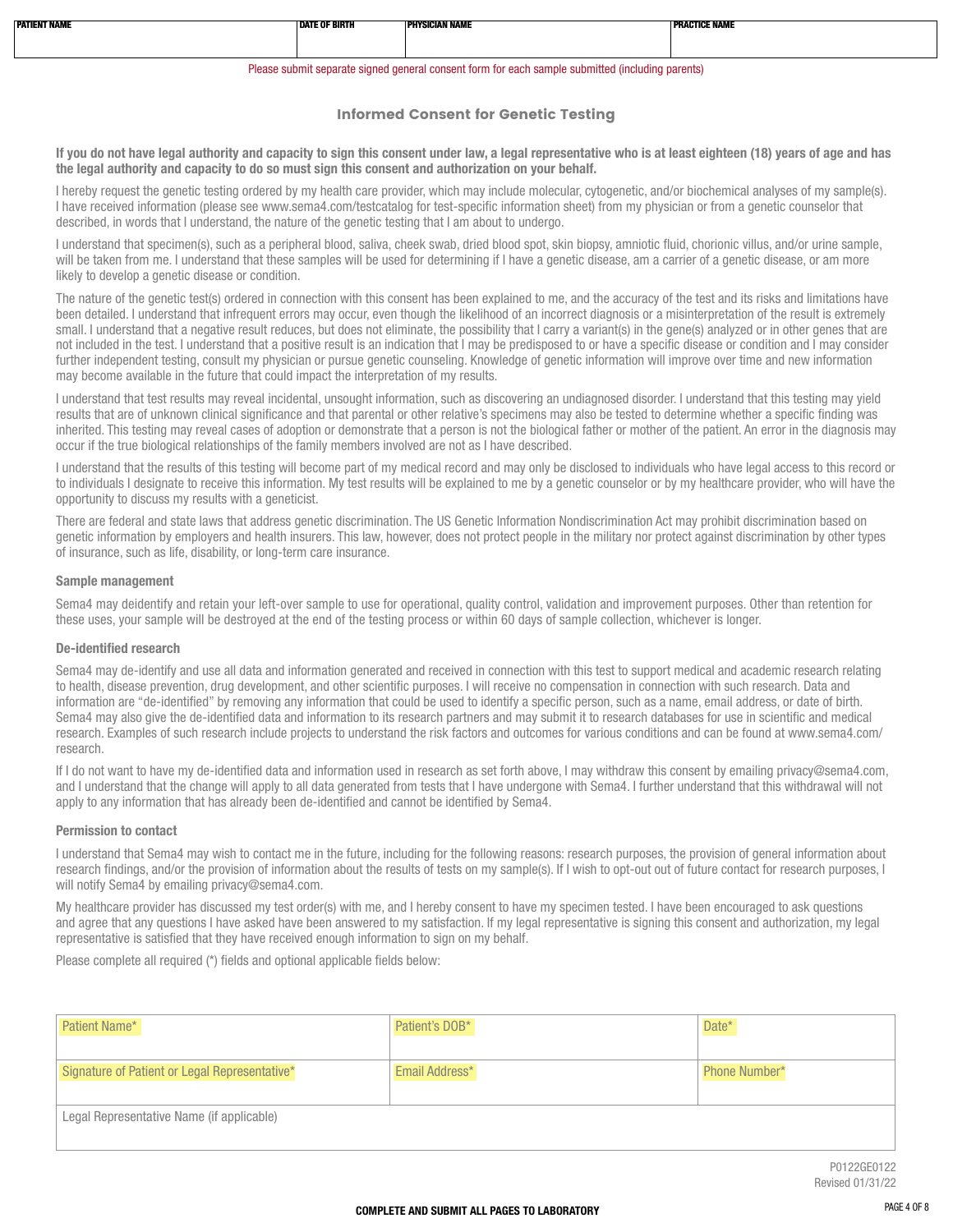| PATIENT NAMI | <b>DATE OF BIRTH</b> | ----------------<br>IAN NAN | <b>The County</b><br>THE START .<br>. IVAIVI |
|--------------|----------------------|-----------------------------|----------------------------------------------|
|              |                      |                             |                                              |
|              |                      |                             |                                              |
|              |                      |                             |                                              |

#### Please submit separate signed general consent form for each sample submitted (including parents)

#### Informed Consent for Genetic Testing

If you do not have legal authority and capacity to sign this consent under law, a legal representative who is at least eighteen (18) years of age and has the legal authority and capacity to do so must sign this consent and authorization on your behalf.

I hereby request the genetic testing ordered by my health care provider, which may include molecular, cytogenetic, and/or biochemical analyses of my sample(s). I have received information (please see www.sema4.com/testcatalog for test-specific information sheet) from my physician or from a genetic counselor that described, in words that I understand, the nature of the genetic testing that I am about to undergo.

I understand that specimen(s), such as a peripheral blood, saliva, cheek swab, dried blood spot, skin biopsy, amniotic fluid, chorionic villus, and/or urine sample, will be taken from me. I understand that these samples will be used for determining if I have a genetic disease, am a carrier of a genetic disease, or am more likely to develop a genetic disease or condition.

The nature of the genetic test(s) ordered in connection with this consent has been explained to me, and the accuracy of the test and its risks and limitations have been detailed. I understand that infrequent errors may occur, even though the likelihood of an incorrect diagnosis or a misinterpretation of the result is extremely small. I understand that a negative result reduces, but does not eliminate, the possibility that I carry a variant(s) in the gene(s) analyzed or in other genes that are not included in the test. I understand that a positive result is an indication that I may be predisposed to or have a specific disease or condition and I may consider further independent testing, consult my physician or pursue genetic counseling. Knowledge of genetic information will improve over time and new information may become available in the future that could impact the interpretation of my results.

I understand that test results may reveal incidental, unsought information, such as discovering an undiagnosed disorder. I understand that this testing may yield results that are of unknown clinical significance and that parental or other relative's specimens may also be tested to determine whether a specific finding was inherited. This testing may reveal cases of adoption or demonstrate that a person is not the biological father or mother of the patient. An error in the diagnosis may occur if the true biological relationships of the family members involved are not as I have described.

I understand that the results of this testing will become part of my medical record and may only be disclosed to individuals who have legal access to this record or to individuals I designate to receive this information. My test results will be explained to me by a genetic counselor or by my healthcare provider, who will have the opportunity to discuss my results with a geneticist.

There are federal and state laws that address genetic discrimination. The US Genetic Information Nondiscrimination Act may prohibit discrimination based on genetic information by employers and health insurers. This law, however, does not protect people in the military nor protect against discrimination by other types of insurance, such as life, disability, or long-term care insurance.

#### Sample management

Sema4 may deidentify and retain your left-over sample to use for operational, quality control, validation and improvement purposes. Other than retention for these uses, your sample will be destroyed at the end of the testing process or within 60 days of sample collection, whichever is longer.

#### De-identified research

Sema4 may de-identify and use all data and information generated and received in connection with this test to support medical and academic research relating to health, disease prevention, drug development, and other scientific purposes. I will receive no compensation in connection with such research. Data and information are "de-identified" by removing any information that could be used to identify a specific person, such as a name, email address, or date of birth. Sema4 may also give the de-identified data and information to its research partners and may submit it to research databases for use in scientific and medical research. Examples of such research include projects to understand the risk factors and outcomes for various conditions and can be found at www.sema4.com/ research.

If I do not want to have my de-identified data and information used in research as set forth above, I may withdraw this consent by emailing privacy@sema4.com, and I understand that the change will apply to all data generated from tests that I have undergone with Sema4. I further understand that this withdrawal will not apply to any information that has already been de-identified and cannot be identified by Sema4.

#### Permission to contact

I understand that Sema4 may wish to contact me in the future, including for the following reasons: research purposes, the provision of general information about research findings, and/or the provision of information about the results of tests on my sample(s). If I wish to opt-out out of future contact for research purposes, I will notify Sema4 by emailing privacy@sema4.com.

My healthcare provider has discussed my test order(s) with me, and I hereby consent to have my specimen tested. I have been encouraged to ask questions and agree that any questions I have asked have been answered to my satisfaction. If my legal representative is signing this consent and authorization, my legal representative is satisfied that they have received enough information to sign on my behalf.

Please complete all required (\*) fields and optional applicable fields below:

| Patient's DOB* | Date*         |
|----------------|---------------|
|                |               |
| Email Address* | Phone Number* |
|                |               |
|                |               |
|                |               |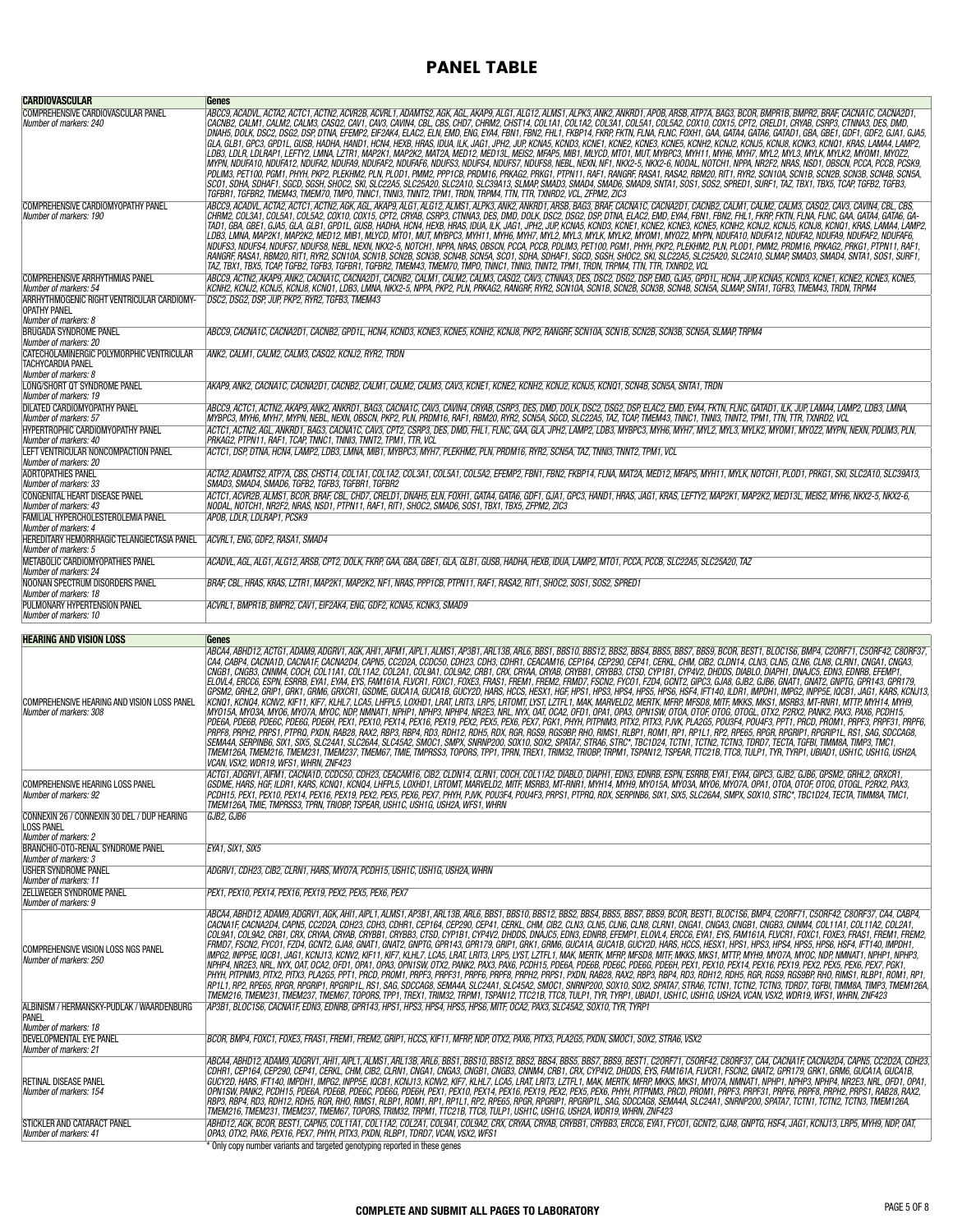## PANEL TABLE

| <b>CARDIOVASCULAR</b>                                                                                                                | Genes                                                                                                                                                                                                                                                                                                                                                                                                                                                                                                                                                                                                                                                                                                                                                                                                                                                                                                                                                                                                                                                                                                                                                                                                                                                                                                                                                                                                                                                                                                                                                                                                                                                                                                                                                                                                                                                                                                                                                                                                                                                                                                                                                                                                                                                                                                                            |
|--------------------------------------------------------------------------------------------------------------------------------------|----------------------------------------------------------------------------------------------------------------------------------------------------------------------------------------------------------------------------------------------------------------------------------------------------------------------------------------------------------------------------------------------------------------------------------------------------------------------------------------------------------------------------------------------------------------------------------------------------------------------------------------------------------------------------------------------------------------------------------------------------------------------------------------------------------------------------------------------------------------------------------------------------------------------------------------------------------------------------------------------------------------------------------------------------------------------------------------------------------------------------------------------------------------------------------------------------------------------------------------------------------------------------------------------------------------------------------------------------------------------------------------------------------------------------------------------------------------------------------------------------------------------------------------------------------------------------------------------------------------------------------------------------------------------------------------------------------------------------------------------------------------------------------------------------------------------------------------------------------------------------------------------------------------------------------------------------------------------------------------------------------------------------------------------------------------------------------------------------------------------------------------------------------------------------------------------------------------------------------------------------------------------------------------------------------------------------------|
| COMPREHENSIVE CARDIOVASCULAR PANEL<br>Number of markers: 240                                                                         | ABCC9, ACADVL, ACTA2, ACTC1, ACTN2, ACVR2B, ACVRL1, ADAMTS2, AGK, AGL, AKAP9, ALG1, ALG12, ALMS1, ALPK3, ANKR, ANKRD1, APOB, ARSB, ATP7A, BAG3, BCOR, BMPR1B, BMPR2, BRAF, CACNA2D1, CACNA2D1,<br>CACNB2, CALM1, CALM2, CALM3, CASQ2, CAV1, CAV3, CAVIN4, CBL, CBS, CHD7, CHRM2, CHST14, COL1A1, COL1A2, COL3A1, COL5A1, COL5A2, COX10, COX15, CPT2, CRELD1, CRYAB, CSRP3, CTNNA3, DES, DMD,<br>DNAH5, DOLK, DSC2, DSC2, DSP, DTNA, EFEMP2, EIF2AK4, ELAC2, ELN, EMD, ENG, EYA4, FBN1, FBN2, FHL1, FKBP14, FKRP, FKTN, FLNA, FLNC, FOXH1, GAA, GATA4, GATA6, GATAD1, GBA, GBE1, GDF2, GDF2, GJA1, GJA5,<br>GLA, GLB1, GPC3, GPD1L, GUSB, HADHA, HAND1, HCN4, HEXB, HRAS, IDUA, ILK, JAG1, JPH2, JUP, KCNA5, KCND3, KCNE7, KCNE2, KCNE3, KCNE3, KCN2, KCN, KCN, KCN, KCN, KCN, KCNG1, KRAS, LAMA4, LAMP2,<br>LDB3, LDLR, LDLRAP1, LEFTY2, LMNA, LZTR1, MAP2K1, MAP2K2, MAT2A, MED12, MED13L, MEIS2, MFAP5, MIB1, MLYCD, MTO1, MUT, MYBPC3, MYH11, MYH6, MYH7, MYL2, MYL3, MYLK, MYLK2, MYOM1, MYOZ2,<br>MYPN, NDUFA10, NDUFA12, NDUFA2, NDUFAF, NDUFAF6, NDUFS3, NDUFS4, NDUFS7, NDUFS8, NEBL, NEXN, NF1, NKX2-5, NKX2-6, NODAL, NOTCH1, NPPA, NR2F2, NRAS, NSD1, OBSCN, PCCA, PCCB, PCSK9,<br>PDLIM3, PET100, PGM1, PHYH, PKP2, PLEKHM2, PLN, PLOD1, PMM2, PPP1CB, PRDM16, PRKAG2, PRKG1, PTPN11, RAF1, RANGRF, RASA1, RASA2, RBM20, RIT1, RYR2, SCN10, SCN1B, SCN2B, SCN3B, SCN4B, SCN4B, SCN4B, SCN4B, SCN4B, SCN4B, SCN5A<br>SCO1, SDHA, SDHAF1, SGCD, SGSH, SHOC2, SKI, SLC22A5, SLC25A20, SLC2A10, SLC39A13, SLMAP, SMAD3, SMAD4, SMAD6, SMAD9, SNTA1, SOS1, SOS2, SPRED1, SURF1, TAZ, TBX1, TBX5, TCAP, TGFB2, TGFB3,<br>TGFBR1, TGFBR2, TMEM43, TMEM70, TMPÓ, TNNC1, TNNI3, TNNT2, TPM1, TRDN, TRPM4, TTN, TTR, TXNRD2, VCL, ZFPM2, ZIC3                                                                                                                                                                                                                                                                                                                                                                                                                                                                                                                                                                                  |
| COMPREHENSIVE CARDIOMYOPATHY PANEL<br>Number of markers: 190                                                                         | ABCC9, ACADVL, ACTA2, ACTC1, ACTN2, AGK, AGL, AKAP9, ALG1, ALG12, ALMS1, ALPK3, ANK2, ANKRD1, ARSB, BAG3, BRAF, CACNA1C, CACNA2D1, CACNB2, CALM1, CALM2, CALM3, CASQ2, CAV3, CAVIN4, CBL, CBS<br>CHRM2, COLSA1, COLSA1, COLSA2, COX10, COX15, CPT2, CRIAB, CSRP3, CTMA3, DES, DMD, DOLK, DSC2, DSG2, DSP, DTMA, ELAC2, EMD, ETA4, EBN1, FBN2, FHL1, FKRP, FKTN, FLM2, FLMC, GAA, GATA4, GATA6, GA-<br>TAD1, GBA, GBE1, GJA5, GLA, GLB1, GPD1L, GUSB, HADHA, HCN4, HEXB, HRAS, IDUA, ILK, JAG1, JPH2, JUP, KCNA5, KCND3, KCNE3, KCNE3, KCNE5, KCNU2, KCNU2, KCNU3, KCNU3, KCNQ1, KRAS, LAMA4, LAMP2,<br>LDB3, LMNA, MAP2K1, MAP2K2, MED12, MIB1, MLYCD, MTO1, MUT, MYBPC3, MYH11, MYH6, MYH7, MYL2, MYL3, MYLK, MYLK2, MYOM1, MYOZ2, MYPN, NDUFA10, NDUFA12, NDUFA2, NDUFA9, NDUFA72, NDUFA8, NDUFA72, NDUFA8, NDUFAF6, NDUFAF6,<br>NDUFS3, NDUFS4, NDUFS7, NDUFS8, NEBL, NEXN, NKX2-5, NOTCH1, NPPA, NRAS, OBSCN, PCCA, PCCB, PDLIM3, PET100, PGM1, PHYH, PKP2, PLEKHM2, PLN, PLOD1, PMM2, PRDM16, PRKAG2, PRKG1, PTPN11, RAF1,<br>RANGRF, RASA1, RBM20, RIT1, RYR2, SCN10A, SCN1B, SCN2B, SCN3B, SCN4B, SCN5A, SCO1, SDHA, SDHAF1, SGCD, SGSH, SHOC2, SKI, SLC22A5, SLC25A20, SLC2A10, SLMAP, SMAD3, SMAD4, SNTA1, SOS1, SURF1,<br>TAZ, TBX1, TBX5, TCAP, TGFB2, TGFB3, TGFBR1, TGFBR2, TMEM43, TMEM70, TMP0, TNNC1, TNNI3, TNNT2, TPM1, TRDN, TRPM4, TTN, TTR, TXNRD2, VCL                                                                                                                                                                                                                                                                                                                                                                                                                                                                                                                                                                                                                                                                                                                                                                                                                                                                                                                                                     |
| <b>COMPREHENSIVE ARRHYTHMIAS PANEL</b><br>Number of markers: 54<br>ARRHYTHMOGENIC RIGHT VENTRICULAR CARDIOMY-<br><b>OPATHY PANEL</b> | ABCC9, ACTN2, AKAP9, ANK2, CACNA1C, CACNA2D1, CACNB2, CALM1, CALM2, CALM3, CASQ2, CAV3, CTNNA3, DES, DSC2, DSG2, DSG2, DSR, EMD, GJA5, GPD1L, HCN4, JUP, KCNA5, KCND3, KCNE1, KCNE2, KCNE3, KCNE3, KCNE3, KCNE3, KCNE5,<br>KCNH2, KCNJ2, KCNJ5, KCNJ8, KCNQ1, LDB3, LMNA, NKX2-5, NPPA, PKP2, PLN, PRKAG2, RANGRF, RYR2, SCN1A, SCN1B, SCN2B, SCN4B, SCN4B, SCN5A, SLMAP, SNTA1, TGFB3, TMEM43, TRDN, TRPM4<br>DSC2, DSG2, DSP, JUP, PKP2, RYR2, TGFB3, TMEM43                                                                                                                                                                                                                                                                                                                                                                                                                                                                                                                                                                                                                                                                                                                                                                                                                                                                                                                                                                                                                                                                                                                                                                                                                                                                                                                                                                                                                                                                                                                                                                                                                                                                                                                                                                                                                                                                   |
| Number of markers: 8<br><b>BRUGADA SYNDROME PANEL</b>                                                                                | ABCC9, CACNA1C, CACNA2D1, CACNB2, GPD1L, HCN4, KCND3, KCNE3, KCNE5, KCNH2, KCNJ8, PKP2, RANGRF, SCN10A, SCN1B, SCN2B, SCN3B, SCN5A, SLMAP, TRPM4                                                                                                                                                                                                                                                                                                                                                                                                                                                                                                                                                                                                                                                                                                                                                                                                                                                                                                                                                                                                                                                                                                                                                                                                                                                                                                                                                                                                                                                                                                                                                                                                                                                                                                                                                                                                                                                                                                                                                                                                                                                                                                                                                                                 |
| Number of markers: 20<br>CATECHOLAMINERGIC POLYMORPHIC VENTRICULAR<br><b>TACHYCARDIA PANEL</b><br>Number of markers: 8               | ANK2, CALM1, CALM2, CALM3, CASQ2, KCNJ2, RYR2, TRDN                                                                                                                                                                                                                                                                                                                                                                                                                                                                                                                                                                                                                                                                                                                                                                                                                                                                                                                                                                                                                                                                                                                                                                                                                                                                                                                                                                                                                                                                                                                                                                                                                                                                                                                                                                                                                                                                                                                                                                                                                                                                                                                                                                                                                                                                              |
| LONG/SHORT OT SYNDROME PANEL<br>Number of markers: 19                                                                                | AKAP9, ANK2, CACNA1C, CACNA2D1, CACNB2, CALM1, CALM2, CALM3, CAV3, KCNE1, KCNE2, KCNH2, KCNJ2, KCNJ5, KCNQ1, SCN4B, SCN5A, SNTA1, TRDN                                                                                                                                                                                                                                                                                                                                                                                                                                                                                                                                                                                                                                                                                                                                                                                                                                                                                                                                                                                                                                                                                                                                                                                                                                                                                                                                                                                                                                                                                                                                                                                                                                                                                                                                                                                                                                                                                                                                                                                                                                                                                                                                                                                           |
| DILATED CARDIOMYOPATHY PANEL<br>Number of markers: 57                                                                                | ABCC9, ACTC1, ACTN2, AKAP9, ANK2, ANKRD1, BAG3, CACNA1C, CAV3, CAVIN4, CRYAB, CSRP3, DES, DMD, DOLK, DSC2, DSG2, DSG2, DSR, ELAC2, EMD, EYA4, FKTN, FLNC, GATAD1, ILK, JUP, LAMA4, LAMP2, LDB3, LMNA,<br>MYBPC3. MYH6. MYH7. MYPN. NEBL. NEXN. OBSCN. PKP2. PLN. PRDM16. RAF1. RBM20. RYR2. SCN5A. SGCD. SLC22A5. TAZ. TCAP. TMEM43. TNNC1. TNNI3. TNNT2. TPM1. TTN. TTR. TXNRD2. VCL                                                                                                                                                                                                                                                                                                                                                                                                                                                                                                                                                                                                                                                                                                                                                                                                                                                                                                                                                                                                                                                                                                                                                                                                                                                                                                                                                                                                                                                                                                                                                                                                                                                                                                                                                                                                                                                                                                                                            |
| HYPERTROPHIC CARDIOMYOPATHY PANEL<br>Number of markers: 40                                                                           | ACTC1,ACTN2,AGL,ANKRD1,BAG3,CACNA1C,CAV3,CPT2,CSRP3,DES,DMD,FHL1,FLNC,GAA,GLA,JPH2,LAMP2,LDB3,MYBPC3,MYH6,MYH7,MYL2,MYL3,MYLK2,MYOM1,MYOZ2,MYPN,NEXN,PDLIM3,PLN,<br>PRKAG2, PTPN11, RAF1, TCAP, TNNC1, TNNI3, TNNT2, TPM1, TTR, VCL                                                                                                                                                                                                                                                                                                                                                                                                                                                                                                                                                                                                                                                                                                                                                                                                                                                                                                                                                                                                                                                                                                                                                                                                                                                                                                                                                                                                                                                                                                                                                                                                                                                                                                                                                                                                                                                                                                                                                                                                                                                                                              |
| LEFT VENTRICULAR NONCOMPACTION PANEL<br>Number of markers: 20                                                                        | ACTC1, DSP, DTNA, HCN4, LAMP2, LDB3, LMNA, MIB1, MYBPC3, MYH7, PLEKHM2, PLN, PRDM16, RYR2, SCN5A, TAZ, TNNI3, TNNT2, TPM1, VCL,                                                                                                                                                                                                                                                                                                                                                                                                                                                                                                                                                                                                                                                                                                                                                                                                                                                                                                                                                                                                                                                                                                                                                                                                                                                                                                                                                                                                                                                                                                                                                                                                                                                                                                                                                                                                                                                                                                                                                                                                                                                                                                                                                                                                  |
| <b>AORTOPATHIES PANEL</b>                                                                                                            | ACTA2,ADAMTS2,ATP7A,CBS,CHST14,COL1A1,COL1A2,COL3A1,COL5A1,COL5A2,EFEMP2,FBN1,FBN2,FKBP14,FLNA,MAT2A,MED12,MFAP5,MYH11,MYLK,NOTCH1,PLOD1,PRKG1,SKI,SLC2A10,SLC39A13,                                                                                                                                                                                                                                                                                                                                                                                                                                                                                                                                                                                                                                                                                                                                                                                                                                                                                                                                                                                                                                                                                                                                                                                                                                                                                                                                                                                                                                                                                                                                                                                                                                                                                                                                                                                                                                                                                                                                                                                                                                                                                                                                                             |
| Number of markers: 33<br><b>CONGENITAL HEART DISEASE PANEL</b>                                                                       | SMAD3. SMAD4. SMAD6. TGFB2. TGFB3. TGFBR1. TGFBR2<br>ACTC1,ACVR2B,ALMS1, BCOR,BRAF,CBL,CHD7,CRELD1,DNAH5,ELN,FOXH1,GATA4,GATA6,GDF1,GJA1,GPC3,HAND1,HRAS,JAG1,KRAS,LEFTY2,MAP2K1,MAP2K2,MED13L,MEIS2,MYH6,NKX2-5,NKX2-6,                                                                                                                                                                                                                                                                                                                                                                                                                                                                                                                                                                                                                                                                                                                                                                                                                                                                                                                                                                                                                                                                                                                                                                                                                                                                                                                                                                                                                                                                                                                                                                                                                                                                                                                                                                                                                                                                                                                                                                                                                                                                                                         |
| Number of markers: 43                                                                                                                | NODAL, NOTCH1, NR2F2, NRAS, NSD1, PTPN11, RAF1, RIT1, SHOC2, SMAD6, SOS1, TBX1, TBX5, ZFPM2, ZIC3                                                                                                                                                                                                                                                                                                                                                                                                                                                                                                                                                                                                                                                                                                                                                                                                                                                                                                                                                                                                                                                                                                                                                                                                                                                                                                                                                                                                                                                                                                                                                                                                                                                                                                                                                                                                                                                                                                                                                                                                                                                                                                                                                                                                                                |
| FAMILIAL HYPERCHOLESTEROLEMIA PANEL<br>Number of markers: 4                                                                          | APOB, LDLR, LDLRAP1, PCSK9                                                                                                                                                                                                                                                                                                                                                                                                                                                                                                                                                                                                                                                                                                                                                                                                                                                                                                                                                                                                                                                                                                                                                                                                                                                                                                                                                                                                                                                                                                                                                                                                                                                                                                                                                                                                                                                                                                                                                                                                                                                                                                                                                                                                                                                                                                       |
| HEREDITARY HEMORRHAGIC TELANGIECTASIA PANEL<br>Number of markers: 5                                                                  | ACVRL1, ENG, GDF2, RASA1, SMAD4                                                                                                                                                                                                                                                                                                                                                                                                                                                                                                                                                                                                                                                                                                                                                                                                                                                                                                                                                                                                                                                                                                                                                                                                                                                                                                                                                                                                                                                                                                                                                                                                                                                                                                                                                                                                                                                                                                                                                                                                                                                                                                                                                                                                                                                                                                  |
| METABOLIC CARDIOMYOPATHIES PANEL<br>Number of markers: 24                                                                            | ACADVL, AGL, ALG1, ALG12, ARSB, CPT2, DOLK, FKRP, GAA, GBA, GBE1, GLA, GLB1, GUSB, HADHA, HEXB, IDUA, LAMP2, MTO1, PCCA, PCCB, SLC22A5, SLC25A20, TAZ.                                                                                                                                                                                                                                                                                                                                                                                                                                                                                                                                                                                                                                                                                                                                                                                                                                                                                                                                                                                                                                                                                                                                                                                                                                                                                                                                                                                                                                                                                                                                                                                                                                                                                                                                                                                                                                                                                                                                                                                                                                                                                                                                                                           |
| NOONAN SPECTRUM DISORDERS PANEL<br>Number of markers: 18                                                                             | BRAF, CBL, HRAS, KRAS, LZTR1, MAP2K1, MAP2K2, NF1, NRAS, PPP1CB, PTPN11, RAF1, RASA2, RIT1, SHOC2, SOS1, SOS2, SPRED1                                                                                                                                                                                                                                                                                                                                                                                                                                                                                                                                                                                                                                                                                                                                                                                                                                                                                                                                                                                                                                                                                                                                                                                                                                                                                                                                                                                                                                                                                                                                                                                                                                                                                                                                                                                                                                                                                                                                                                                                                                                                                                                                                                                                            |
| PULMONARY HYPERTENSION PANEL<br>Number of markers: 10                                                                                | ACVRL1, BMPR1B, BMPR2, CAV1, EIF2AK4, ENG, GDF2, KCNA5, KCNK3, SMAD9                                                                                                                                                                                                                                                                                                                                                                                                                                                                                                                                                                                                                                                                                                                                                                                                                                                                                                                                                                                                                                                                                                                                                                                                                                                                                                                                                                                                                                                                                                                                                                                                                                                                                                                                                                                                                                                                                                                                                                                                                                                                                                                                                                                                                                                             |
|                                                                                                                                      |                                                                                                                                                                                                                                                                                                                                                                                                                                                                                                                                                                                                                                                                                                                                                                                                                                                                                                                                                                                                                                                                                                                                                                                                                                                                                                                                                                                                                                                                                                                                                                                                                                                                                                                                                                                                                                                                                                                                                                                                                                                                                                                                                                                                                                                                                                                                  |
|                                                                                                                                      |                                                                                                                                                                                                                                                                                                                                                                                                                                                                                                                                                                                                                                                                                                                                                                                                                                                                                                                                                                                                                                                                                                                                                                                                                                                                                                                                                                                                                                                                                                                                                                                                                                                                                                                                                                                                                                                                                                                                                                                                                                                                                                                                                                                                                                                                                                                                  |
| <b>HEARING AND VISION LOSS</b><br>COMPREHENSIVE HEARING AND VISION LOSS PANEL<br>Number of markers: 308                              | Genes<br>ABCA4, ABHD12, ACTG1, ADAM9, ADGRV1, AGK, AHI1, AIFM1, AIPL1, ALMS1, AP3B1, ARL13B, ARL6, BBS1, BBS1, BBS1, BBS2, BBS4, BBS5, BBS7, BBS5, BBS7, BEST1, BLOC1S6, BMP4, C2ORF71, C5ORF42, C8ORF37,<br>CA4, CABP4, CACNA1D, CACNA1F, CACNA2D4, CAPN5, CC2D2A, CCDC50, CDH23, CDH81, CDHR1, CEACAM16, CEP164, CEP290, CEP41, CERKL, CHM, CIB2, CLDN14, CLN3, CLN5, CLN6, CLN8, CLN8, CLN8, CLN8, CLN8, CLN8, CLN8, CLN8, CN8A1, CNGA3,<br>CNGB1, CNGB3, CNNM4, COCH, COL11A1, COL11A2, COL2A1, COL9A1, COL9A2, CRB1, CRX, CRYAA, CRYAB, CRYBB1, CRYBB3, CTSD, CYP1B1, CYP4V2, DHDDS, DIABLO, DIAPH1, DNAJC5, EDN3, EDNRB, EFEMP1,<br>ELOVL4, ERCC6, ESPN, ESRRB, EYA1, EYA4, EYS, FAM161A, FLVCR1, FOXC1, FOXE3, FRAS1, FREM1, FREM2, FRMD7, FSCN2, FYCO1, FZD4, GCNT2, GIPC3, GJA8, GJB2, GJB6, GNAT1, GNAT2, GNPTG, GPR143, GPR179,<br>GPSM2, GRHL2, GRIP1, GRK1, GRM6, GRXCR1, GSDME, GUCA1A, GUCA1B, GUCY2D, HARS, HCCS, HESX1, HGF, HPS1, HPS3, HPS4, HPS6, HPS6, HPS6, HSF4, IFT140, ILDR1, IMPDH1, IMPG2, INPP5E, IQCB1, JAG1, KARS, KCNJ13,<br>KCNQ1, KCNQ4, KCNV2, KIF11, KIF7, KLHL7, LCA5, LHFPL5, LOXHD1, LRAT, LRIT3, LRP5, LRTOMT, LYST, LZTFL1, MAK, MARVELD2, MERTK, MFRP, MFSD8, MITF, MKKS, MKS1, MSRB3, MT-RNR1, MTTP, MYH14, MYH9,<br>MYO15A, MYO3A, MYO6, MYO7A, MYOC, NDP, NMNAT1, NPHP1, NPHP4, NPHP4, NR2E3, NRL, NYX, OAT, OCA2, OFD1, OPA1, OPA3, OPN1SW, OTOA, OTOG, OTOG, OTOGL, OTX2, P2RX2, PANX2, PAX3, PAX6, PCDH15,<br>PDE6A, PDE6B, PDE6C, PDE6G, PDE6H, PEX1, PEX10, PEX14, PEX16, PEX19, PEX2, PEX5, PEX6, PEX7, PGK1, PHYH, PITPNM3, PITX2, PITX3, PJVK, PLA2G5, POU3F4, POU4F3, PPT1, PRCD, PROM1, PRPF3, PRPF31, PRF6, PRPF31, PRPF6,<br>PRPF8, PRPH2, PRPS1, PTPRQ, PXDN, RAB28, RAX2, RBP3, RBP4, RD3, RDH12, RDH5, RDX, RGR, RGS9, RGS9BP, RHO, RIMS1, RLBP1, ROM1, RP1, RP1, RP1. RP2, RPE65, RPGR, RPGRIP1, RPGRIP1L, RS1, SAG, SDCCAG8,<br>SEMA4A, SERPINB6, SIX1, SIX5, SLC24A1, SLC26A4, SLC45A2, SMOC1, SMPX, SNRNP200, SOX10, SOX2, SPATA7, STRA6, STRC*, TBC1D24, TCTN1, TCTN2, TCTN3, TDRD7, TECTA, TGFBI, TIMM8A, TIMP3, TMC1,<br>TMEM126A, TMEM216, TMEM231, TMEM237, TMEM67, TMIE, TMPRSS3, TOPORS, TPP1, TPRN, TREX1, TRIM32, TRIOBP, TRPM1, TSPAN12, TSPEAR, TTC21B, TTC8, TULP1, TYR, TYRP1, UBIAD1, USH1C, USH1G, USH2A,<br>VCAN, VSX2, WDR19, WFS1, WHRN, ZNF423 |
| COMPREHENSIVE HEARING LOSS PANEL<br>Number of markers: 92                                                                            | ACTG1,ADGRV1,AIFM1,CACNA1D,CCDC50,CDH23,CEACAM16,CIB2,CLDN14,CLRN1,COCH,COL11A2,DIABLO,DIAPH1,EDN3,EDNRB,ESPN,ESRRB,EYA1,EYA4,GIPC3,GJB2,GJB6,GPSM2,GRHL2,GRXCR1,<br>GSDME, HARS, HGF, ILDR1, KARS, KCNQ1, KCNQ4, LHFPL5, LOXHD1, LRTOMT, MARVELD2, MITF, MSRB3, MT-RNR1, MYH14, MYH9, MYO15A, MYO3A, MYO6, MYO7A, OPA1, OTOA, OTOF, OTOG, OTOGL, P2RX2, PAX3,<br>PCDH15, PEX1, PEX10, PEX14, PEX16, PEX19, PEX2, PEX5, PEX6, PEX7, PHYH, PJWK, POU3F4, POU4F3, PRPS1, PTPRQ, RDX, SERPINB6, SIX1, SIX5, SLC26A4, SMPX, SOX10, STRC*, TBC1D24, TECTA, TIMM8A, TMC1,<br>TMEM126A, TMIE, TMPRSS3, TPRN, TRIOBP, TSPEAR, USH1C, USH1G, USH2A, WFS1, WHRN                                                                                                                                                                                                                                                                                                                                                                                                                                                                                                                                                                                                                                                                                                                                                                                                                                                                                                                                                                                                                                                                                                                                                                                                                                                                                                                                                                                                                                                                                                                                                                                                                                                                            |
| CONNEXIN 26 / CONNEXIN 30 DEL / DUP HEARING<br><b>LOSS PANEL</b><br>Number of markers: 2                                             | GJB2, GJB6                                                                                                                                                                                                                                                                                                                                                                                                                                                                                                                                                                                                                                                                                                                                                                                                                                                                                                                                                                                                                                                                                                                                                                                                                                                                                                                                                                                                                                                                                                                                                                                                                                                                                                                                                                                                                                                                                                                                                                                                                                                                                                                                                                                                                                                                                                                       |
| BRANCHIO-OTO-RENAL SYNDROME PANEL<br>Number of markers: 3                                                                            | EYA1, SIX1, SIX5                                                                                                                                                                                                                                                                                                                                                                                                                                                                                                                                                                                                                                                                                                                                                                                                                                                                                                                                                                                                                                                                                                                                                                                                                                                                                                                                                                                                                                                                                                                                                                                                                                                                                                                                                                                                                                                                                                                                                                                                                                                                                                                                                                                                                                                                                                                 |
| <b>USHER SYNDROME PANEL</b>                                                                                                          | ADGRV1, CDH23, CIB2, CLRN1, HARS, MYO7A, PCDH15, USH1C, USH1G, USH2A, WHRN                                                                                                                                                                                                                                                                                                                                                                                                                                                                                                                                                                                                                                                                                                                                                                                                                                                                                                                                                                                                                                                                                                                                                                                                                                                                                                                                                                                                                                                                                                                                                                                                                                                                                                                                                                                                                                                                                                                                                                                                                                                                                                                                                                                                                                                       |
| Number of markers: 11<br>ZELLWEGER SYNDROME PANEL                                                                                    | PEX1, PEX10, PEX14, PEX16, PEX19, PEX2, PEX5, PEX6, PEX7                                                                                                                                                                                                                                                                                                                                                                                                                                                                                                                                                                                                                                                                                                                                                                                                                                                                                                                                                                                                                                                                                                                                                                                                                                                                                                                                                                                                                                                                                                                                                                                                                                                                                                                                                                                                                                                                                                                                                                                                                                                                                                                                                                                                                                                                         |
| Number of markers: 9<br>COMPREHENSIVE VISION LOSS NGS PANEL<br>Number of markers: 250                                                | ABCA4, ABHD12, ADAM9, ADGRV1, AGK, AHI1, AIPL1, ALMS1, AP3B1, ARL13B, ARL6, BBS1, BBS10, BBS2, BBS2, BBS4, BBS5, BBS5, BBS9, BCOR, BEST1, BLOC1S6, BMP4, C2ORF71, C5ORF42, C8ORF37, CA4, CABP4,<br>CACNA1F, CACNA2D4, CAPN5, CC2D2A, CDH23, CDH3, CDHR1, CEP164, CEP290, CEP41, CERKL, CHM, CIB2, CLN3, CLN5, CLN6, CLN8, CLN1, CNGA1, CNGA1, CNGA3, CNGB1, CNGB3, CNNM4, COL11A1, COL11A2, COL2A1,<br>COL9A1, COL9A2, CRB1, CRX, CRYAA, CRYAB, CRYBB1, CRYBB3, CTSD, CYP1B1, CYP4V2, DHDDS, DNAJC5, EDN3, EDNRB, EFEMP1, ELOVL4, ERCC6, EYA1, EYS, FAM161A, FLVCR1, FOXC1, FOXE3, FRAS1, FREM1, FREM1, FREM1, FREM2,<br>FRMD7, FSCN2, FYCO1, FZD4, GCNT2, GJA8, GNAT1, GNAT2, GNPTG, GPR143, GPR179, GRIP1, GRK1, GRM6, GUCA1A, GUCA1A, GUCY2D, HARS, HCSS, HCSX1, HPS1, HPS3, HPS4, HPS5, HPS6, HSF4, IFT140, IMPDH1,<br>IMPG2, INPP5E, IQCB1, JAG1, KCNJ13, KCNV2, KIF11, KIF7, KLHL7, LCA5, LRAT, LRIT3, LRP5, LYST, LZTFL1, MAK, MERTK, MFRP, MFSD8, MITF, MKKS, MKS1, MTTP, MYH9, MYO7A, MYOC, NDP, NMNAT1, NPHP1, NPHP3,<br>NPHP4, NR2E3, NRL, NYX, OAT, OCA2, OFD1, OPA1, OPA3, OPN1SW, OTX2, PANK2, PAX3, PAX6, PCDH15, PDE6A, PDE6B, PDE6C, PDE6G, PDE6G, PEX10, PEX10, PEX14, PEX16, PEX19, PEX2, PEX2, PEX5, PEX6, PEX6, PEX7, PGK1,<br>PHYH, PITPNM3, PITX2, PITX3, PLA2G5, PPT1, PRCD, PROM1, PRPF3, PRPF31, PRPF6, PRPF6, PRPH2, PRPS1, PXDN, RAB28, RAX2, RBP3, RBP4, RD3, RDH12, RDH5, RGR, RGS9, RGS9BP, RHO, RIMS1, RLBP1, ROM1, RP1,<br>RP1L1, RP2, RPE65, RPGR, RPGRIP1, RPGRIP1L, RS1, SAG, SDCCAG8, SEMA4A, SLC24A1, SLC45A2, SMOC1, SNRNP200, SOX10, SOX2, SPATA7, STRA6, TCTN1, TCTN2, TCTN3, TDRD7, TGFBI, TIMM8A, TINP3, TMEM126A,                                                                                                                                                                                                                                                                                                                                                                                                                                                                                                                                                                                                                                                                    |
| ALBINISM / HERMANSKY-PUDLAK / WAARDENBURG<br><b>PANEL</b>                                                                            | TMEM216, TMEM231, TMEM237, TMEM67, TOPORS, TPP1, TREX1, TRIM32, TRPM1, TSPAN12, TTC21B, TTC8, TULP1, TYR, TYRP1, UBIAD1, USH1C, USH1G, USH2A, VCAN, VSX2, WDR19, WFS1, WHRN, ZNF423<br>AP3B1, BLOC1S6, CACNA1F, EDN3, EDNRB, GPR143, HPS1, HPS3, HPS4, HPS5, HPS6, MITF, OCA2, PAX3, SLC45A2, SOX10, TYR, TYRP1                                                                                                                                                                                                                                                                                                                                                                                                                                                                                                                                                                                                                                                                                                                                                                                                                                                                                                                                                                                                                                                                                                                                                                                                                                                                                                                                                                                                                                                                                                                                                                                                                                                                                                                                                                                                                                                                                                                                                                                                                  |
| Number of markers: 18<br><b>DEVELOPMENTAL EYE PANEL</b>                                                                              | BCOR, BMP4, FOXC1, FOXE3, FRAS1, FREM1, FREM2, GRIP1, HCCS, KIF11, MFRP, NDP, OTX2, PAX6, PITX3, PLA2G5, PXDN, SMOC1, SOX2, STRA6, VSX2                                                                                                                                                                                                                                                                                                                                                                                                                                                                                                                                                                                                                                                                                                                                                                                                                                                                                                                                                                                                                                                                                                                                                                                                                                                                                                                                                                                                                                                                                                                                                                                                                                                                                                                                                                                                                                                                                                                                                                                                                                                                                                                                                                                          |
| Number of markers: 21                                                                                                                |                                                                                                                                                                                                                                                                                                                                                                                                                                                                                                                                                                                                                                                                                                                                                                                                                                                                                                                                                                                                                                                                                                                                                                                                                                                                                                                                                                                                                                                                                                                                                                                                                                                                                                                                                                                                                                                                                                                                                                                                                                                                                                                                                                                                                                                                                                                                  |
| RETINAL DISEASE PANEL<br>Number of markers: 154                                                                                      | ABCA4, ABHD12, ADAM9, ADGRV1, AHI1, AIPL1, ALMS1, ARL13B, ARL6, BBS1, BBS10, BBS12, BBS2, BBS2, BBS5, BBS7, BBS9, BEST1, C2ORF71, C5ORF42, C8ORF37, CA4, CACNA1F, CACNA2D4, CAPN5, CC2D2A, CDH23,<br>CDHR1, CEP164, CEP290, CEP41, CERKL, CHM, CIB2, CLRN1, CNGA1, CNGA3, CNGB1, CNGB3, CNNM4, CRB1, CRX, CYP4V2, DHDDS, EYS, FAM161A, FLVCR1, FSCN2, GNAT2, GPR179, GRK1, GRM6, GUCA1A, GUCA1B,<br>GUCY2D, HARS, IFT140, IMPDH1, IMPG2, INPP5E, IQCB1, KCNJ13, KCNV2, KIF7, KLHL7, LCA5, LRAT, LRIT3, LZTFL1, MAK, MERTK, MFRP, MKKS, MKS1, MYO7A, NMNAT1, NPHP1, NPHP3, NPHP4, NR2E3, NRL, OFD1, OPA1,<br>OPN1SW, PANK2, PCDH15, PDE6A, PDE6B, PDE6G, PDE6G, PDE6H, PEX1, PEX10, PEX14, PEX14, PEX16, PEX19, PEX2, PEX2, PEX6, PHXH, PITPNM3, PRCD, PROM1, PRPF3, PRPF31, PRPF6, PRPF6, PRPF8, PRPF8, PRP5, PRPS1, RAB28, RAX2,<br>RBP3, RBP4, RD3, RDH12, RDH5, RGR, RHO, RIMS1, RLBP1, ROM1, RP1, RP1L1, RP2, RPE65, RPGR, RPGRIP1, RPGRIP1L, SAG, SDCCAG8, SEMA4A, SLC24A1, SNRNP200, SPATA7, TCTN1, TCTN2, TCTN3, TMEM126A,<br>TMEM216, TMEM231, TMEM237, TMEM67, TOPORS, TRIM32, TRPM1, TTC21B, TTC8, TULP1, USH1C, USH1G, USH2A, WDR19, WHRN, ZNF423                                                                                                                                                                                                                                                                                                                                                                                                                                                                                                                                                                                                                                                                                                                                                                                                                                                                                                                                                                                                                                                                                                                                                                     |
| STICKLER AND CATARACT PANEL<br>Number of markers: 41                                                                                 | ABHD12, AGK, BCOR, BEST1, CAPN5, COL11A1, COL11A2, COL2A1, COL9A1, COL9A2, CRX, CRYAA, CRYAB, CRYBB3, CRYCO5, EYA1, FYCO1, GCNT2, GJA8, GNPTG, HSF4, JAG1, KCNJ13, LRP5, MYH9, NDP, OAT,<br>OPA3, OTX2, PAX6, PEX16, PEX7, PHYH, PITX3, PXDN, RLBP1, TDRD7, VCAN, VSX2, WFS1<br>* Only copy number variants and targeted genotyping reported in these genes                                                                                                                                                                                                                                                                                                                                                                                                                                                                                                                                                                                                                                                                                                                                                                                                                                                                                                                                                                                                                                                                                                                                                                                                                                                                                                                                                                                                                                                                                                                                                                                                                                                                                                                                                                                                                                                                                                                                                                      |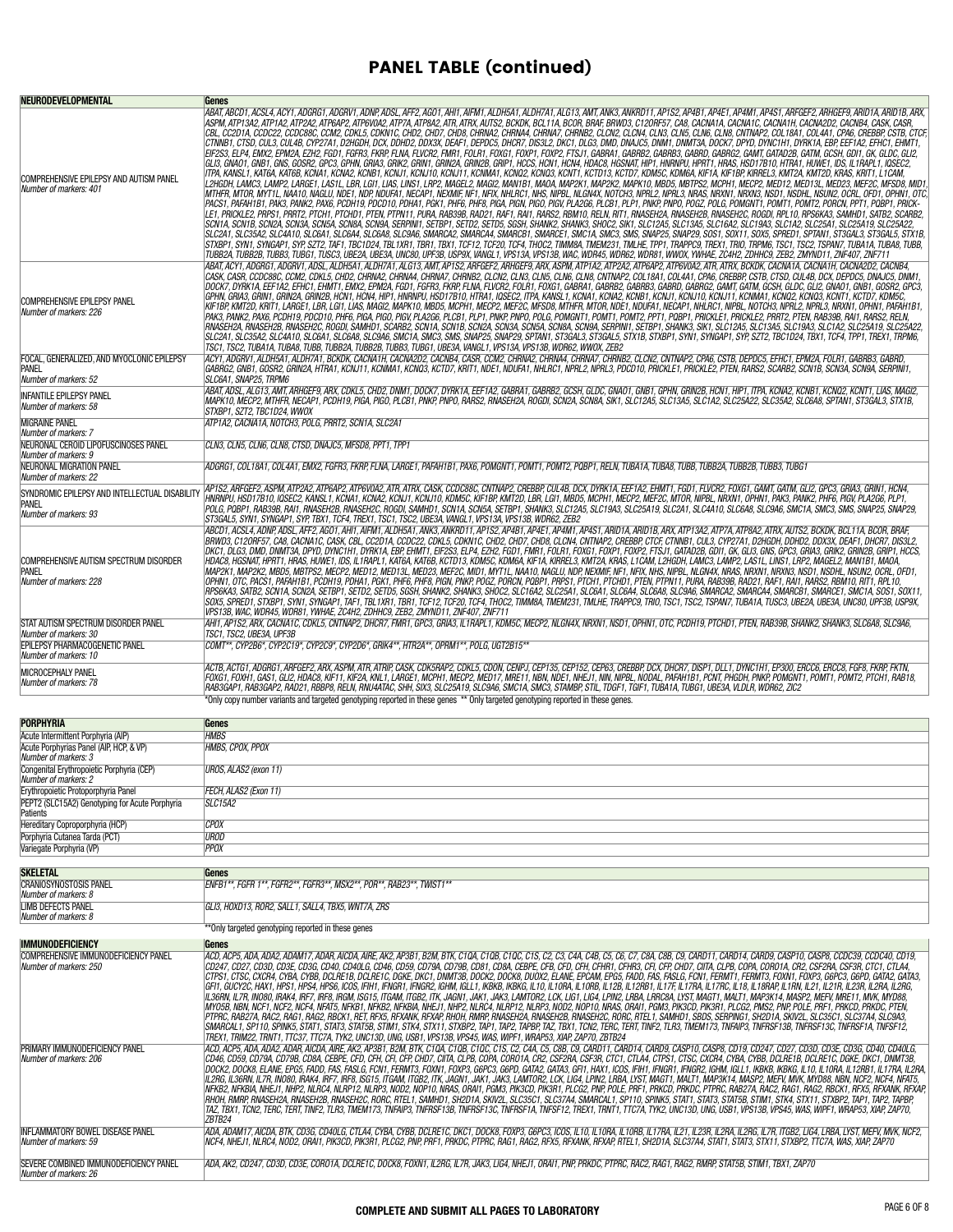## PANEL TABLE (continued)

| <b>NEURODEVELOPMENTAL</b>                                                                                 | Genes                                                                                                                                                                                                                                                                                                                                                                                                                                                                                                                                                                                                                                                                                                                                                                                                                                                                                                                                                                                                                                                                                                                                                                                                                                                                                                                                                                                                                                                                                                                                                                                                                                                                                                                                                                                                                                                                                                                                                                                                                                                                                                                                                                                                                                                                                                                                                                                                                                                                                                                                                                                                                                                                                                                                                                                                                                                                                                                                                                                                                                                                                                                                          |
|-----------------------------------------------------------------------------------------------------------|------------------------------------------------------------------------------------------------------------------------------------------------------------------------------------------------------------------------------------------------------------------------------------------------------------------------------------------------------------------------------------------------------------------------------------------------------------------------------------------------------------------------------------------------------------------------------------------------------------------------------------------------------------------------------------------------------------------------------------------------------------------------------------------------------------------------------------------------------------------------------------------------------------------------------------------------------------------------------------------------------------------------------------------------------------------------------------------------------------------------------------------------------------------------------------------------------------------------------------------------------------------------------------------------------------------------------------------------------------------------------------------------------------------------------------------------------------------------------------------------------------------------------------------------------------------------------------------------------------------------------------------------------------------------------------------------------------------------------------------------------------------------------------------------------------------------------------------------------------------------------------------------------------------------------------------------------------------------------------------------------------------------------------------------------------------------------------------------------------------------------------------------------------------------------------------------------------------------------------------------------------------------------------------------------------------------------------------------------------------------------------------------------------------------------------------------------------------------------------------------------------------------------------------------------------------------------------------------------------------------------------------------------------------------------------------------------------------------------------------------------------------------------------------------------------------------------------------------------------------------------------------------------------------------------------------------------------------------------------------------------------------------------------------------------------------------------------------------------------------------------------------------|
| COMPREHENSIVE EPILEPSY AND AUTISM PANEL<br>Number of markers: 401                                         | ABAT, ABCD1, ACSL4, ACY1, ADGRG1, ADGRV1, ADNP, ADSL, AFF2, AGO1, AHI1, AIFM1, ALDH5A1, ALDH7A1, ALG13, AMT, ANK3, ANKRD11, AP1S2, AP4B1, AP4B1, AP4E1, AP4M1, AP4S1, ARFGEF2, ARHGEF9, ARID1A, ARID1B, ARX,<br>ASPM, ATP13A2, ATP1A2, ATP2A2, ATP6AP2, ATP6V0A2, ATP7A, ATP8A2, ATR, ATRX, AUTS2, BCKDK, BCL11A, BCOR, BRAF, BRWD3, C12ORF57, CA8, CACNA1A, CACNA1C, CACNA1H, CACNA1D, CACNA1D, CACNA1D, CACNA1D, CACNA1D, CACNA1D, CACNA1D,<br>,CBL, CC2D1A, CCDC22, CCDC88C, CCM2, CDKL5, CDKN1C, CHD2, CHD7, CHD8, CHRNA2, CHRNA4, CHRNA7, CHRNB2, CLCN2, CLCN4, CLN3, CLN6, CLN6, CLN6, CNTNAP2, COL18A1, CO14A1, CPA6, CREBBP, CSTB, CTCF,<br>, CTNNB1, CTSD, CUL3, CUL4B, CYP27A1, D2HGDH, DCX, DDHD2, DDX3X, DEAF1, DEPDC5, DHCR7, DIS3L2, DKC1, DLG3, DMD, DNAJC5, DNM1, DNMT3A, DOCK7, DPYD, DYNC1H1, DYRK1A, EBP, EEF1A2, EFHC1, EHMT1,<br>EIF2S3, ELP4, EMX2, EPM2A, EZH2, FGD1, FGFR3, FKRP, FLNA, FLVCR2, FMR1, FOLR1, FOXG1, FOXP1, FOXP2, FTSJ1, GABRA1, GABRB2, GABRB3, GABRD2, GABRG2, GAMT, GATAD2B, GATM, GCSH, GDI1, GK, GLDC, GLI2,<br>GLI3, GNAO1, GNB1, GNS, GOSR2, GPC3, GPHN, GRIA3, GRIK2, GRIN1, GRIN2A, GRIN2B, GRIP1, HCCS, HCN1, HOM4, HDAC8, HGSNAT, HIP1, HNRAPV1, HRAF1, HRAS, HSD17B10, HTRA1, HUWE1, IDS, IL1RAPL1, IQSEC2,<br>ITPA, KANSL1, KAT6A, KAT6B, KCNA1, KCNA2, KCND1, KCNJ1, KCNJ11, KCNMA1, KCNQ2, KCNQ3, KCNT1, KCTD13, KCTD7, KDM5C, KDM6A, KIF1A, KIF1BP, KIRREL3, KMT2A, KMT2D, KRAS, KRIT1, L1CAM,<br>L2HGDH, LAMC3, LAMP2, LARGE1, LAS1L, LBR, LGI1, LIAS, LINS1, LRP2, MAGEL2, MAGI2, MAN1B1, MAOA, MAP2K1, MAP2K2, MAPK10, MBD5, MBTPS2, MCPH1, MECP2, MED12, MED13L, MED23, MEF2C, MFSD8, MID1<br>MTHFR, MTOR, MYT1L, NAA10, NAGLU, NDE1, NDP, NDUFA1, NECAP1, NECAMF, NFX, NHLRC1, NHS, NIPBL, NLGN4X, NOTCH3, NPRL2, NPRL2, NPRL3, NRAS, NRXN1, NRXN3, NSD1, NSDHL, NSUN2, OCRL, OFD1, OPHN1, OTC,<br>PACS1, PAFAH1B1, PAK3, PANK2, PAX6, PCDH19, PDCD10, PDHA1, PGK1, PHF6, PHF8, PIGR, PIGR, PIGR, PIGR, PLGB, PLCB1, PLP1, PNKP, PNP, POGZ, POLG, POMGNT1, POMT1, POMT2, PORCN, PPT1, PQBP1, PRICK-<br>LE1, PRICKLE2, PRPS1, PRRT2, PTCH1, PTCHD1, PTEN, PTPN11, PURA, RAB39B, RAD21, RAF1, RAI1, RARS2, RBM10, RELN, RIT1, RNASEH2A, RNASEH2B, RNASEH2C, ROGDI, RPL10, RPS6KA3, SAMHD1, SATB2, SCARB2,<br>SCN1A, SCN1B, SCN2A, SCN3A, SCN5A, SCN9A, SCN9A, SERPINI1, SETBP1, SETD2, SETD5, SGSH, SHANK2, SHANK3, SHOC2, SIK1, SLC12A5, SLC13A5, SLC16A2, SLC19A3, SLC1A2, SLC25A1, SLC25A1, SLC25A1, SLC25A1, SLC25A1, SLC25A1, SLC25A1,<br>SLC2A1, SLC35A2, SLC4A10, SLC6A1, SLC6A4, SLC6A8, SLC9A6, SMARCA2, SMARCA4, SMARCE1, SMARCE1, SMC14, SMC3, SMS, SMAP29, SOS1, SOX11, SOX5, SPRED1, SPTAN1, ST3GAL3, ST3GAL3, ST3GAL3, ST3GAL3, ST3GAL3, ST3GAL3, ST3GAL3, ST3G<br>STXBP1, SYN1, SYNGAP1, SYP, SZT2, TAF1, TBC1D24, TBL1XR1, TBR1, TGF1, TCF12, TCF20, TCF4, THOC2, TIMM8A, TMEM231, TMLHE, TPP1, TRAPPC9, TREX1, TRIO, TRPM6, TSC1, TSC2, TSPAN7, TUBA1A, TUBA8, TUBB,<br>TUBB2A, TUBB2B, TUBB3, TUBG1, TUSC3, UBE2A, UBE3A, UNC80, UPF3B, USP9X, VANGL1, VPS13A, VPS13B, WAC, WDR45, WDR62, WDR62, WDR61, WWOX, YWHAE, ZC4H2, ZDHHC9, ZEB2, ZMYND11, ZNF407, ZNF711 |
| COMPREHENSIVE EPILEPSY PANEL<br>Number of markers: 226                                                    | ABAT, ACY1, ADGRG1, ADGRV1, ADSL, ALDH5A1, ALDH7A1, ALG13, AMT, AP1S2, ARFGEF2, ARHGEF9, ARX, ASPM, ATP1A2, ATP2A2, ATP6AP2, ATP6AP2, ATP6, ATR, ATRX, BCKDK, CACNA1A, CACNA1H, CACNA2D2, CACNB4,<br>, CASK, CASR, CCDC88C, CCM2, CDKL5, CHD2, CHRNA2, CHRNA4, CHRNA7, CHRNB2, CLCN2, CLN3, CLN5, CLN6, CLN8, CNTNAP2, COL18A1, COL4A1, CPA6, CREBBP, CSTB, CTSD, CUL4B, DCX, DEPDC5, DNAJC5, DNM1,<br>DOCK7, DYRK1A, EEF1A2, EFHC1, EHMT1, EMX2, EPM2A, FGD1, FGFR3, FKRP, FLNA, FLVCR2, FOLR1, FOXG1, GABRA1, GABRB2, GABRB3, GABRD, GABRG2, GAMT, GATM, GCSH, GLDC, GLI2, GNAO1, GNB1, GOSR2, GPC3,<br>GPHN, GRIA3, GRIN1, GRIN2A, GRIN2B, HCN1, HCN4, HIP1, HNRNPU, HSD17B10, HTRA1, IQSEC2, ITPA, KANSL1, KCNA1, KCNA2, KCNB1, KCNJ1, KCNJ10, KCNJ11, KCN0A1, KCNQ2, KCNQ3, KCNQ3, KCNQ7, KCNQ2, KCNQ3, KCNT1, KCTD7, KDM5C,<br>KIF1BP, KMT2D, KRIT1, LARGE1, LBR, LGI1, LIAS, MAGI2, MAPK10, MBD5, MCPH1, MECP2, MEF2C, MFSD8, MTHFR, MTOR, NDE1, NDUFA1, NECAP1, NHLRC1, NIPBL, NOTCH3, NPRL2, NPRL3, NRXN1, OPHN1, PAFAH1B1,<br>PAK3, PANK2, PAX6, PCDH19, PDCD10, PHF6, PIGA, PIGO, PIGV, PLA2G6, PLCB1, PLP1, PNKP, PNPO, POLG, POMGNT1, POMT1, POMT2, PPT1, PQBP1, PRICKLE1, PRICKLE2, PRRT2, PTEN, RAB39B, RAI1, RARS2, RELN,<br>RNASEH2A, RNASEH2B, RNASEH2C, ROGDI, SAMHD1, SCARB2, SCN1A, SCN1B, SCN2A, SCN3A, SCN8A, SCN8A, SCN3A, SERPINI1, SETBP1, SHANK3, SIK1, SLC12A5, SLC13A5, SLC13A3, SLC1A2, SLC25A19, SLC25A22,<br>,SLC2A1, SLC35A2, SLC4A10, SLC6A1, SLC6A8, SLC9A6, SMC1A, SMC3, SMS, SNAP25, SNAP29, SPTAN1, ST3GAL3, ST3GAL5, STX1B, STXBP1, SYN, SYNGAP1, SYP, SZT2, TBC1D24, TBX1, TCF4, TPP1, TREX1, TRPM6,<br>TSC1, TSC2, TUBA1A, TUBA8, TUBB, TUBB2A, TUBB2B, TUBB3, TUBG1, UBE3A, VANGL1, VPS13A, VPS13B, WDR62, WWOX, ZEB2                                                                                                                                                                                                                                                                                                                                                                                                                                                                                                                                                                                                                                                                                                                                                                                                                                                                                                                                                                                                                                                                                                                                                                                                                                                                                                                                                                                |
| FOCAL, GENERALIZED, AND MYOCLONIC EPILEPSY<br>PANEL<br>Number of markers: 52                              | ACY1,ADGRV1,ALDH5A1,ALDH7A1,BCKDK,CACNA1H,CACNA2D2,CACNB4,CASR,CCM2,CHRNA2,CHRNA4,CHRNA7,CHRNB2,CLCN2,CNTNAP2,CPA6,CSTB,DEPDC5,EFHC1,EPM2A,FOLR1,GABRB3,GABRD,<br>GABRG2, GNB1, GOSR2, GRIN2A, HTRA1, KCNJ11, KCNMA1, KCNQ3, KCTD7, KRIT1, NDE1, NDUFA1, NHLRC1, NPRL2, NPRL3, PDCD10, PRICKLE1, PRICKLE2, PTEN, RARS2, SCARB2, SCN1B, SCN3A, SCN9A, SERPINI1,<br>SLC6A1, SNAP25, TRPM6                                                                                                                                                                                                                                                                                                                                                                                                                                                                                                                                                                                                                                                                                                                                                                                                                                                                                                                                                                                                                                                                                                                                                                                                                                                                                                                                                                                                                                                                                                                                                                                                                                                                                                                                                                                                                                                                                                                                                                                                                                                                                                                                                                                                                                                                                                                                                                                                                                                                                                                                                                                                                                                                                                                                                        |
| INFANTILE EPILEPSY PANEL<br>Number of markers: 58                                                         | ABAT, ADSL, ALG13, AMT, ARHGEF9, ARX, CDKL5, CHD2, DNM1, DOCK7, DYRK1A, EEF1A2, GABRA1, GABRB2, GCSH, GLDC, GNAO1, GNB1, GPHN, GRIN2B, HCN1, HIP1, ITPA, KCNA2, KCNB1, KCNQ2, KCNT1, LIAS, MAGI2,<br>MAPK10, MECP2, MTHFR, NECAP1, PCDH19, PIGA, PIGO, PLCB1, PNKP, PNPO, RARS2, RNASEH2A, ROGDI, SCN2A, SCN8A, SIK1, SLC1245, SLC1245, SLC124, SLC25A22, SLC35A2, SLC648, SPTAN1, ST3GAL3, STX1B,<br>STXBP1, SZT2, TBC1D24, WWOX                                                                                                                                                                                                                                                                                                                                                                                                                                                                                                                                                                                                                                                                                                                                                                                                                                                                                                                                                                                                                                                                                                                                                                                                                                                                                                                                                                                                                                                                                                                                                                                                                                                                                                                                                                                                                                                                                                                                                                                                                                                                                                                                                                                                                                                                                                                                                                                                                                                                                                                                                                                                                                                                                                              |
| MIGRAINE PANEL<br>Number of markers: 7<br>NEURONAL CEROID LIPOFUSCINOSES PANEL                            | ATP1A2, CACNA1A, NOTCH3, POLG, PRRT2, SCN1A, SLC2A1<br>CLN3, CLN5, CLN6, CLN8, CTSD, DNAJC5, MFSD8, PPT1, TPP1                                                                                                                                                                                                                                                                                                                                                                                                                                                                                                                                                                                                                                                                                                                                                                                                                                                                                                                                                                                                                                                                                                                                                                                                                                                                                                                                                                                                                                                                                                                                                                                                                                                                                                                                                                                                                                                                                                                                                                                                                                                                                                                                                                                                                                                                                                                                                                                                                                                                                                                                                                                                                                                                                                                                                                                                                                                                                                                                                                                                                                 |
| Number of markers: 9<br>NEURONAL MIGRATION PANEL                                                          | ADGRG1, COL18A1, COL4A1, EMX2, FGFR3, FKRP, FLNA, LARGE1, PAFAH1B1, PAX6, POMGNT1, POMT1, POMT2, PQBP1, RELN, TUBA1A, TUBA8, TUBB, TUBB2A, TUBB2B, TUBB3, TUBB3, TUBB3, TUBB3, TUBB3, TUBB                                                                                                                                                                                                                                                                                                                                                                                                                                                                                                                                                                                                                                                                                                                                                                                                                                                                                                                                                                                                                                                                                                                                                                                                                                                                                                                                                                                                                                                                                                                                                                                                                                                                                                                                                                                                                                                                                                                                                                                                                                                                                                                                                                                                                                                                                                                                                                                                                                                                                                                                                                                                                                                                                                                                                                                                                                                                                                                                                     |
| Number of markers: 22<br>SYNDROMIC EPILEPSY AND INTELLECTUAL DISABILITY<br>Panel<br>Number of markers: 93 | AP1S2, ARFGEF2, ASPM, ATP2A2, ATP6AP2, ATP6V0A2, ATR, ATRX, CASK, CCDC88C, CNTNAP2, CREBBP, CUL4B, DCX, DYRK1A, EEF1A2, EHMT1, FGD1, FLVCR2, FOXG1, GAMT, GATM, GLI2, GPC3, GRIA3, GRIN1, HCN4,<br>HNRNPU, HSD17B10, IQSEC2, KANSL1, KCNA1, KCNA2, KCNJ1, KCNJ10, KDM5C, KIF1BP, KMT2D, LBR, LGI1, MBD5, MCPH1, MECP2, MEF2C, MTOR, NIPBL, NRXN1, OPHN1, PAK3, PANK2, PHF6, PIGV, PLA2G6, PLP1,<br>POLG, PQBP1, RAB39B, RAI1, RNASEH2B, RNASEH2C, ROGDI, SAMHD1, SCN1A, SCN5A, SETBP1, SHANK3, SLC12A5, SLC19A3, SLC25A19, SLC2A1, SLC4A10, SLC6A8, SLC9A6, SMC1A, SMC3, SNAP25, SNAP29, SNAP29,<br>ST3GAL5, SYN1, SYNGAP1, SYP, TBX1, TCF4, TREX1, TSC1, TSC2, UBE3A, VANGL1, VPS13A, VPS13B, WDR62, ZEB2                                                                                                                                                                                                                                                                                                                                                                                                                                                                                                                                                                                                                                                                                                                                                                                                                                                                                                                                                                                                                                                                                                                                                                                                                                                                                                                                                                                                                                                                                                                                                                                                                                                                                                                                                                                                                                                                                                                                                                                                                                                                                                                                                                                                                                                                                                                                                                                                                                     |
| COMPREHENSIVE AUTISM SPECTRUM DISORDER<br>Panel<br>Number of markers: 228                                 | ABCD1, ACSL4, ADNP, ADSL, AFF2, AGO1, AHI1, AIFM1, ALDH5A1, ANK3, ANKRD11, AP1S2, AP4B1, AP4E1, AP4B1, AP4S1, ARID1A, ARID1A, ARX, ATP13A2, ATP7A, ATP8A2, ATRX, AUTS2, BCKDK, BCL11A, BCOR, BRAF,<br>BRWD3, C12ORF57, CA8, CACNA1C, CASK, CBL, CC2D1A, CCDC22, CDKL5, CDKN1C, CHD2, CHD7, CHD8, CLCN4, CNTNAP2, CREBBP, CTCF, CTNNB1, CUL3, CYP27A1, D2HGDH, DDHD2, DDX3X, DEAF1, DHCR7, DIS3L2,<br>DKC1, DLG3, DMD, DNMT3A, DPYD, DYNC1H1, DYRK1A, EBP, EHMT1, EIF2S3, ELP4, EZH2, FGD1, FMR1, FOLA1, FOXP1, FOXP1, FOXP2, FTSJ1, GATAD2B, GDI1, GK, GLI3, GNS, GPC3, GRIA3, GRIK2, GRIN2B, GRIP., HCCS,<br>HDAC8, HGSNAT, HPRT1, HRAS, HUWE1, IDS, IL1RAPL1, KAT6A, KAT6B, KCTD13, KDM5C, KDM6A, KIF1A, KIRREL3, KMT2A, KRAS, L1CAM, L2HGDH, LAMC3, LAMP2, LAS1L, LINS1, LRP2, MAGEL2, MAN1B1, MAOA,<br>MAP2K1, MAP2K2, MBD5, MBTPS2, MECP2, MED12, MED13L, MED23, MEF2C, MID1, MYT1L, NAA10, NAGLU, NDP, NEXMIF, NF1, NFIX, NHS, NIPBL, NLGN4X, NRAS, NRXN1, NRXN3, NSD1, NSDHL, NSUN2, OCRL, OFD1,<br>,0PHN1, OTC, PACS1, PAFAH1B1, PCDH19, PDHA1, PGK1, PHF6, PHF8, PIGN, PNKP, POGZ, PORCN, PQBP1, PRPS1, PTCH1, PTCHD1, PTEN, PTPN11, PURA, RAB39B, RAD21, RAF1, RAI1, RARS2, RBM10, RIT1, RPL10,<br>RPS6KA3, SATB2, SCN1A, SCN2A, SETBP1, SETD2, SETD5, SGSH, SHANK2, SHANK3, SHOC2, SLC16A2, SLC25A1, SLC6A1, SLC6A4, SLC6A8, SLC9A6, SMARCA2, SMARCA4, SMARCB1, SMARCE1, SMC1A, SOS1, SOX11,<br>SOX5, SPRED1, STXBP1, SYN1, SYNGAP1, TAF1, TBL1XR1, TBR1, TCF12, TCF20, TCF4, THOC2, TIMM8A, TMEM231, TMLHE, TRAPPC9, TRIO, TSC1, TSC2, TSPAN7, TUBA1A, TUSC3, UBE2A, UBE3A, UNC80, UPF3B, USP9X,<br>VPS13B, WAC, WDR45, WDR81, YWHAE, ZC4H2, ZDHHC9, ZEB2, ZMYND11, ZNF407, ZNF711                                                                                                                                                                                                                                                                                                                                                                                                                                                                                                                                                                                                                                                                                                                                                                                                                                                                                                                                                                                                                                                                                                                                                                                                                                                                                                                                                                                                                                                 |
| STAT AUTISM SPECTRUM DISORDER PANEL<br>Number of markers: 30<br>EPILEPSY PHARMACOGENETIC PANEL            | AHI1, AP1S2, ARX, CACNA1C, CDKL5, CNTNAP2, DHCR7, FMR1, GPC3, GRIA3, IL1RAPL1, KDM5C, MECP2, NLGN4X, NRXN1, NSD1, OPHN1, OTC, PCDH19, PTCHD1, PTEN, RAB39B, SHANK2, SHANK3, SLC6A8, SLC9A6,<br>TSC1, TSC2, UBE3A, UPF3B<br>COMT**, CYP2B6*, CYP2C19*, CYP2C9*, CYP2D6*, GRIK4**, HTR2A**, OPRM1**, POLG, UGT2B15**                                                                                                                                                                                                                                                                                                                                                                                                                                                                                                                                                                                                                                                                                                                                                                                                                                                                                                                                                                                                                                                                                                                                                                                                                                                                                                                                                                                                                                                                                                                                                                                                                                                                                                                                                                                                                                                                                                                                                                                                                                                                                                                                                                                                                                                                                                                                                                                                                                                                                                                                                                                                                                                                                                                                                                                                                             |
| Number of markers: 10<br>MICROCEPHALY PANEL<br>Number of markers: 78                                      | ACTB, ACTG1, ADGRG1, ARFGEF2, ARX, ASPM, ATR, ATRIP, CASK, CDK5RAP2, CDKL5, CDON, CENDJ, CEP135, CEP152, CEP63, CREBBP, DCX, DHCR7, DISP1, DLL1, DYNC1H1, EP300, ERCC6, ERCC6, ERCC8, FGF8, FKRP, FKTN,<br>FOXG1, FOXH1, GAS1, GLI2, HDAC8, KIF11, KIF2A, KNL1, LARGE1, MCPH1, MECP2, MED17, MRE11, NBN, NDE1, NHEJ1, NIN, NIPBL, NODAL, PAFAH1B1, PCNT, PHGDH, PNKP, POMGNT1, POMT1, POMT2, PTCH1, RAB18,                                                                                                                                                                                                                                                                                                                                                                                                                                                                                                                                                                                                                                                                                                                                                                                                                                                                                                                                                                                                                                                                                                                                                                                                                                                                                                                                                                                                                                                                                                                                                                                                                                                                                                                                                                                                                                                                                                                                                                                                                                                                                                                                                                                                                                                                                                                                                                                                                                                                                                                                                                                                                                                                                                                                     |
|                                                                                                           | RAB3GAP1, RAB3GAP2, RAD21, RBBP8, RELN, RNU4ATAC, SHH, SIX3, SLC25A19, SLC9A6, SMC1A, SMC3, STAMBP, STIL, TDGF1, TGIF1, TUBA1A, TUBG1, UBE3A, VLDLR, WDR62, ZIC2<br>*Only copy number variants and targeted genotyping reported in these genes ** Only targeted genotyping reported in these genes.                                                                                                                                                                                                                                                                                                                                                                                                                                                                                                                                                                                                                                                                                                                                                                                                                                                                                                                                                                                                                                                                                                                                                                                                                                                                                                                                                                                                                                                                                                                                                                                                                                                                                                                                                                                                                                                                                                                                                                                                                                                                                                                                                                                                                                                                                                                                                                                                                                                                                                                                                                                                                                                                                                                                                                                                                                            |
|                                                                                                           |                                                                                                                                                                                                                                                                                                                                                                                                                                                                                                                                                                                                                                                                                                                                                                                                                                                                                                                                                                                                                                                                                                                                                                                                                                                                                                                                                                                                                                                                                                                                                                                                                                                                                                                                                                                                                                                                                                                                                                                                                                                                                                                                                                                                                                                                                                                                                                                                                                                                                                                                                                                                                                                                                                                                                                                                                                                                                                                                                                                                                                                                                                                                                |
| PORPHYRIA<br>Acute Intermittent Porphyria (AIP)                                                           | Genes<br><b>HMBS</b>                                                                                                                                                                                                                                                                                                                                                                                                                                                                                                                                                                                                                                                                                                                                                                                                                                                                                                                                                                                                                                                                                                                                                                                                                                                                                                                                                                                                                                                                                                                                                                                                                                                                                                                                                                                                                                                                                                                                                                                                                                                                                                                                                                                                                                                                                                                                                                                                                                                                                                                                                                                                                                                                                                                                                                                                                                                                                                                                                                                                                                                                                                                           |
| Acute Porphyrias Panel (AIP, HCP, & VP)                                                                   | HMBS, CPOX, PPOX                                                                                                                                                                                                                                                                                                                                                                                                                                                                                                                                                                                                                                                                                                                                                                                                                                                                                                                                                                                                                                                                                                                                                                                                                                                                                                                                                                                                                                                                                                                                                                                                                                                                                                                                                                                                                                                                                                                                                                                                                                                                                                                                                                                                                                                                                                                                                                                                                                                                                                                                                                                                                                                                                                                                                                                                                                                                                                                                                                                                                                                                                                                               |
| Number of markers: 3<br>Congenital Erythropoietic Porphyria (CEP)<br>Number of markers: 2                 | UROS, ALAS2 (exon 11)                                                                                                                                                                                                                                                                                                                                                                                                                                                                                                                                                                                                                                                                                                                                                                                                                                                                                                                                                                                                                                                                                                                                                                                                                                                                                                                                                                                                                                                                                                                                                                                                                                                                                                                                                                                                                                                                                                                                                                                                                                                                                                                                                                                                                                                                                                                                                                                                                                                                                                                                                                                                                                                                                                                                                                                                                                                                                                                                                                                                                                                                                                                          |
| Erythropoietic Protoporphyria Panel<br>PEPT2 (SLC15A2) Genotyping for Acute Porphyria                     | FECH, ALAS2 (Exon 11)<br><b>SLC15A2</b>                                                                                                                                                                                                                                                                                                                                                                                                                                                                                                                                                                                                                                                                                                                                                                                                                                                                                                                                                                                                                                                                                                                                                                                                                                                                                                                                                                                                                                                                                                                                                                                                                                                                                                                                                                                                                                                                                                                                                                                                                                                                                                                                                                                                                                                                                                                                                                                                                                                                                                                                                                                                                                                                                                                                                                                                                                                                                                                                                                                                                                                                                                        |
| Patients                                                                                                  | <b>CPOX</b>                                                                                                                                                                                                                                                                                                                                                                                                                                                                                                                                                                                                                                                                                                                                                                                                                                                                                                                                                                                                                                                                                                                                                                                                                                                                                                                                                                                                                                                                                                                                                                                                                                                                                                                                                                                                                                                                                                                                                                                                                                                                                                                                                                                                                                                                                                                                                                                                                                                                                                                                                                                                                                                                                                                                                                                                                                                                                                                                                                                                                                                                                                                                    |
| Hereditary Coproporphyria (HCP)<br>Porphyria Cutanea Tarda (PCT)                                          | <b>UROD</b>                                                                                                                                                                                                                                                                                                                                                                                                                                                                                                                                                                                                                                                                                                                                                                                                                                                                                                                                                                                                                                                                                                                                                                                                                                                                                                                                                                                                                                                                                                                                                                                                                                                                                                                                                                                                                                                                                                                                                                                                                                                                                                                                                                                                                                                                                                                                                                                                                                                                                                                                                                                                                                                                                                                                                                                                                                                                                                                                                                                                                                                                                                                                    |
| Variegate Porphyria (VP)                                                                                  | <b>PPOX</b>                                                                                                                                                                                                                                                                                                                                                                                                                                                                                                                                                                                                                                                                                                                                                                                                                                                                                                                                                                                                                                                                                                                                                                                                                                                                                                                                                                                                                                                                                                                                                                                                                                                                                                                                                                                                                                                                                                                                                                                                                                                                                                                                                                                                                                                                                                                                                                                                                                                                                                                                                                                                                                                                                                                                                                                                                                                                                                                                                                                                                                                                                                                                    |
| <b>SKELETAL</b>                                                                                           | Genes                                                                                                                                                                                                                                                                                                                                                                                                                                                                                                                                                                                                                                                                                                                                                                                                                                                                                                                                                                                                                                                                                                                                                                                                                                                                                                                                                                                                                                                                                                                                                                                                                                                                                                                                                                                                                                                                                                                                                                                                                                                                                                                                                                                                                                                                                                                                                                                                                                                                                                                                                                                                                                                                                                                                                                                                                                                                                                                                                                                                                                                                                                                                          |
| <b>CRANIOSYNOSTOSIS PANEL</b><br>Number of markers: 8<br><b>LIMB DEFECTS PANEL</b>                        | ENFB1**, FGFR 1**, FGFR2**, FGFR3**, MSX2**, POR**, RAB23**, TWIST1**<br>GLI3. HOXD13. ROR2. SALL1. SALL4. TBX5. WNT7A. ZRS                                                                                                                                                                                                                                                                                                                                                                                                                                                                                                                                                                                                                                                                                                                                                                                                                                                                                                                                                                                                                                                                                                                                                                                                                                                                                                                                                                                                                                                                                                                                                                                                                                                                                                                                                                                                                                                                                                                                                                                                                                                                                                                                                                                                                                                                                                                                                                                                                                                                                                                                                                                                                                                                                                                                                                                                                                                                                                                                                                                                                    |
| Number of markers: 8                                                                                      | ** Only targeted genotyping reported in these genes                                                                                                                                                                                                                                                                                                                                                                                                                                                                                                                                                                                                                                                                                                                                                                                                                                                                                                                                                                                                                                                                                                                                                                                                                                                                                                                                                                                                                                                                                                                                                                                                                                                                                                                                                                                                                                                                                                                                                                                                                                                                                                                                                                                                                                                                                                                                                                                                                                                                                                                                                                                                                                                                                                                                                                                                                                                                                                                                                                                                                                                                                            |
| IMMUNODEFICIENCY                                                                                          | Genes                                                                                                                                                                                                                                                                                                                                                                                                                                                                                                                                                                                                                                                                                                                                                                                                                                                                                                                                                                                                                                                                                                                                                                                                                                                                                                                                                                                                                                                                                                                                                                                                                                                                                                                                                                                                                                                                                                                                                                                                                                                                                                                                                                                                                                                                                                                                                                                                                                                                                                                                                                                                                                                                                                                                                                                                                                                                                                                                                                                                                                                                                                                                          |
| COMPREHENSIVE IMMUNODEFICIENCY PANEL<br>Number of markers: 250                                            | ACD, ACP5, ADA, ADA2, ADAM17, ADAR, AICDA, AIRE, AK2, AP3B1, B2M, BTK, C10A, C10B, C10C, C1S, C2, C3, C4A, C4B, C5, C6, C7, C8A, C8B, C9, CARD11, CARD1, CARD1, CARD9, CASP10, CASP8, CCDC39, CCDC40, CD19,<br>CO247, CO27, CO3D, CO3E, CO3G, CO40, CO40, CO40, CO59, CO79A, CO79B, CO81, CO8A, CEBPE, CFB, CFD, CFH, CFHR, CFHR3, CFI, CFP, CHD7, CIITA, CLPB, COPA, COROTA, CR2, CSF2RA, CSF3R, CTCT, CTLA4,<br>CTPS1, CTSC, CXCR4, CYBA, CYBB, DCLAE1B, DCLRE1C, DGKE, DKC1, DNMT3B, DOCK2, DOCK8, DUOX2, ELANE, EPCAM, EPG5, FADD, FAS, FASLG, FCN1, FERMT1, FERMT3, FOXN1, FOXP3, G6PC3, G6PD, GATA2, GATA3,<br>GF11, GUCY2C, HAX1, HPS1, HPS4, HPS6, ICOS, IFIH1, IFNGR1, IFNGR2, IGHM, IGLL1, IKBKB, IKBKG, IL10, IL10RA, IL10RB, IL12RB, IL12RB1, IL17F, IL17RA, IL17RC, IL18, IL18RAP, IL1RN, IL21, IL21R, IL23R, IL2RA, IL2RG, IL2RG, IL2<br>IL36RN, IL7R, INO80, IRAK4, IRF7, IRF8, IRGM, ISG15, ITGAM, ITGB2, ITK, JAGN1, JAK1, JAK3, LAMTOR2, LCK, LIG1, LIG4, LPIN2, LRBA, LRRC8A, LYST, MAGT1, MALT1, MAP3K14, MASP2, MEFV, MRE11, MVK, MYD88,<br>MYO5B, NBN, NCF1, NCF2, NCF4, NFAT5, NFKB1, NFKB2, NFKBIA, NHEJ1, NHP2, NLRC4, NLRP12, NLRP3, NOD2, NOP10, NRAS, ORAI1, PGM3, PIK3CD, PIK3R1, PLCG2, PMS2, PNP, POLE, PRF1, PRKCD, PRKDC, PTEN,<br>PTPRC, RAB27A, RAC2, RAG1, RAG2, RBCK1, RET, RFX5, RFXANK, RFXAP, RHOH, RMAP, RNASEH2A, RNASEH2C, ROAC, RTEL1, SAMHD1, SBDS, SERPING1, SH2D1A, SKIV2L, SLC35C1, SLC37A4, SLC9A3,<br>SMARCAL1, SPİ10, SPINK5, STAT1, STAT3, STAT5B, STİM1, STK4, STX11, STXBP2, TAP1, TAP2, TAPBP, TAZ, TBX1, TCN2, TERC, TERT, TINF2, TLN3, TMEM173, TNFAP3, TNFASF13B, TNFRSF13C, TNFRSF14, TNFSF12,<br>TREX1, TRIM22, TRNT1, TTC37, TTC7A, TYK2, UNC13D, UNG, USB1, VPS13B, VPS45, WAS, WIPF1, WRAP53, XIAP, ZAP70, ZBTB24                                                                                                                                                                                                                                                                                                                                                                                                                                                                                                                                                                                                                                                                                                                                                                                                                                                                                                                                                                                                                                                                                                                                                                                                                                                                                                                                                               |
| PRIMARY IMMUNODEFICIENCY PANEL<br>Number of markers: 206                                                  | ACD, ACP5, ADA, ADA2, ADAR, AICDA, AIRE, AK2, AP3B1, B2M, BTK, C1QA, C1QB, C1QC, C1S, C2, C4A, C5, C8B, C9, CARD11, CARD14, CARD9, CASP10, CASP8, CD19, CD247, CD27, CD3D, CD3E, CD3C, CD40, CD40, CD40, CD40, CD40, C<br>CD46, CD59, CD79A, CD79B, CD8A, CEBPE, CFD, CFH, CFI, CFP, CHD7, CIITA, CLPB, COPA, CORO1A, CR2, CSF2RA, CSF3R, CTC1, CTLA4, CTFS1, CTSC, CXCR4, CYBA, CYBB, DCLRE1B, DCLRE1B, DCLRE1C, DGKE, DKC1, DNMT3B,<br>DOCK2, DOCK8, ELANE, EPG5, FADD, FAS, FASLG, FCN1, FERMT3, FOXN1, FOXP3, G6PC3, G6PD, GATA2, GATA3, GF11, HAX1, ICOS, IFIH1, IFNGR1, IFNGR2, IGHM, IGLL1, IKBKB, IKBKG, IL10, IL10RA, IL12RB1, IL17RA, IL2RA, IL2RA, IL2RA, IL<br>IL2RG, IL36RN, IL7R, INO80, IRAK4, IRF7, IRF8, ISG15, ITGAM, ITGB2, ITK, JAGN1, JAK1, JAK3, LAMTOR2, LCK, LIG4, LPIN2, LRBA, LYST, MAGT1, MALT1, MAP3K14, MASP2, MEFV, MVK, MYD88, NBN, NCF2, NCF4, NFAT5,<br>NFKB2, NFKBIA, NHEJ1, NHP2, NLRC4, NLRP12, NLRP3, NOD2, NOP10, NRAS, ORAI1, PGM3, PIK3CD, PIK3R1, PLCG2, PNP, POLE, PRF1, PRKCD, PRKDC, PTPRC, RAB27A, RAC2, RAG1, RAG2, RBCK1, RFX5, RFXANK, RFX4P,<br>RHOH, RMRP, RNASEH2A, RNASEH2B, RNASEH2C, RORC, RTEL1, SAMHD1, SH2D1A, SKIV2L, SLC35C1, SLC37A4, SMARCAL1, SP110, SPINK5, STAT1, STAT3, STAT5B, STIM1, STK4, STX11, STXBP2, TAP1, TAP2, TAPBP,<br>TAZ, TBX1, TCN2, TERC, TERT, TINF2, TLR3, TMEM173, TNFAIP3, TNFRSF13B, TNFRSF13C, TNFRSF1A, TNFSF12, TREX1, TRNT1, TTC7A, TYK2, UNC13D, UNG, USB1, VPS13B, VPS45, WAS, WIPF1, WRAP53, XIAP, ZAP70,<br>ZBTB24                                                                                                                                                                                                                                                                                                                                                                                                                                                                                                                                                                                                                                                                                                                                                                                                                                                                                                                                                                                                                                                                                                                                                                                                                                                                                                                                                                                                                                                                                                                                                                                                                                |
| INFLAMMATORY BOWEL DISEASE PANEL<br>Number of markers: 59                                                 | ADA, ADAM17, AICDA, BTK, CD3G, CD40LG, CTLA4, CYBA, CYBB, DCLRE1C, DKC1, DOCK8, FOXP3, G6PC3, ICOS, IL10, IL10RA, IL10RA, IL17RA, IL21, IL23R, IL2RA, IL2RG, IL7R, ITGB2, LIG4, LRBA, LYST, MEFV, MVK, NCF2,<br>NCF4, NHEJ1, NLRC4, NOD2, ORAI1, PIK3CD, PIK3R1, PLCG2, PNP, PRF1, PRKDC, PTPRC, RAG1, RAG2, RFX5, RFXANK, RFXAP, RTEL1, SH2D1A, SLC37A4, STAT1, STAT3, STX11, STABP2, TTC7A, WAS, XIAP, ZAP70                                                                                                                                                                                                                                                                                                                                                                                                                                                                                                                                                                                                                                                                                                                                                                                                                                                                                                                                                                                                                                                                                                                                                                                                                                                                                                                                                                                                                                                                                                                                                                                                                                                                                                                                                                                                                                                                                                                                                                                                                                                                                                                                                                                                                                                                                                                                                                                                                                                                                                                                                                                                                                                                                                                                 |
| SEVERE COMBINED IMMUNODEFICIENCY PANEL<br>Number of markers: 26                                           | ADA, AK2, CD247, CD3D, CD3E, CORO1A, DCLRE1C, DOCK8, FOXN1, IL2RG, IL7R, JAK3, LIG4, NHEJ1, ORA11, PNP, PRKDC, PTPRC, RAC2, RAG1, RAG2, RMRP, STAT5B, STIM1, TBX1, ZAP70                                                                                                                                                                                                                                                                                                                                                                                                                                                                                                                                                                                                                                                                                                                                                                                                                                                                                                                                                                                                                                                                                                                                                                                                                                                                                                                                                                                                                                                                                                                                                                                                                                                                                                                                                                                                                                                                                                                                                                                                                                                                                                                                                                                                                                                                                                                                                                                                                                                                                                                                                                                                                                                                                                                                                                                                                                                                                                                                                                       |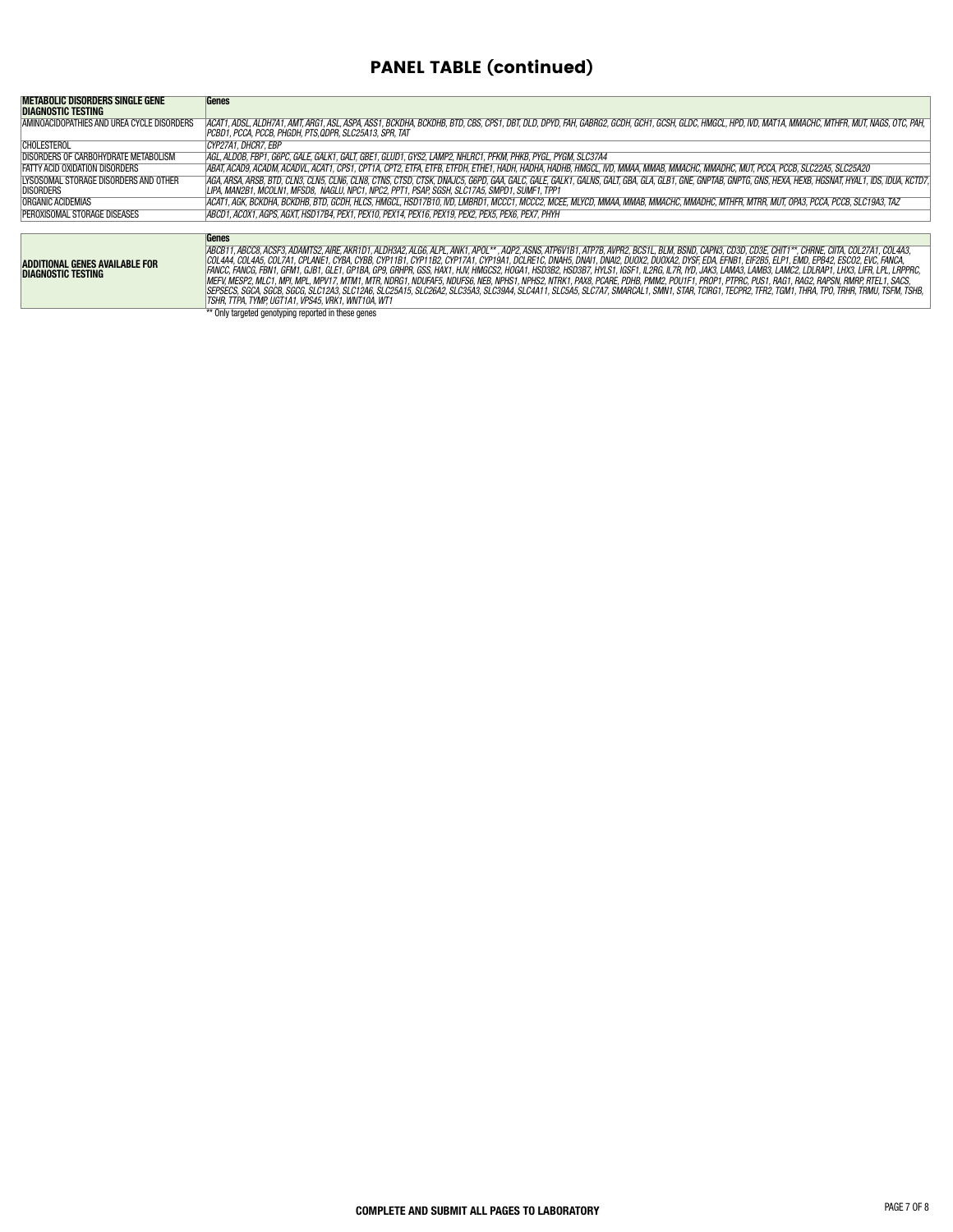# PANEL TABLE (continued)

| METABOLIC DISORDERS SINGLE GENE                           | Genes                                                                                                                                                                                                                                                                                                                                                                                                                                                                                                                                                                                                                                                                                                                                                                                                                                                                                                                                                                                                                                                               |
|-----------------------------------------------------------|---------------------------------------------------------------------------------------------------------------------------------------------------------------------------------------------------------------------------------------------------------------------------------------------------------------------------------------------------------------------------------------------------------------------------------------------------------------------------------------------------------------------------------------------------------------------------------------------------------------------------------------------------------------------------------------------------------------------------------------------------------------------------------------------------------------------------------------------------------------------------------------------------------------------------------------------------------------------------------------------------------------------------------------------------------------------|
| DIAGNOSTIC TESTING                                        |                                                                                                                                                                                                                                                                                                                                                                                                                                                                                                                                                                                                                                                                                                                                                                                                                                                                                                                                                                                                                                                                     |
| AMINOACIDOPATHIES AND UREA CYCLE DISORDERS                | ACAT1, ADSL, ALDH7A1, AMT, ARG1, ASL, ASPA, ASS1, BCKDHA, BCKDHB, BTD, CBS, CPS1, DBT, DLD, DPYD, FAH, GABRG2, GCDH, GCH1, GCSH, GLDC, HMGCL, HPD, IVD, MAT1A, MMACHC, MTHFR, MUT, NAGS, OTC, PAH,<br>PCBD1. PCCA. PCCB. PHGDH. PTS.QDPR. SLC25A13. SPR. TAT                                                                                                                                                                                                                                                                                                                                                                                                                                                                                                                                                                                                                                                                                                                                                                                                        |
| <b>CHOLESTEROL</b>                                        | <i>CYP27A1.DHCR7.EBP</i>                                                                                                                                                                                                                                                                                                                                                                                                                                                                                                                                                                                                                                                                                                                                                                                                                                                                                                                                                                                                                                            |
| DISORDERS OF CARBOHYDRATE METABOLISM                      | AGL, ALDOB, FBP1, G6PC, GALE, GALK1, GALT, GBE1, GLUD1, GYS2, LAMP2, NHLRC1, PFKM, PHKB, PYGL, PYGM, SLC37A4                                                                                                                                                                                                                                                                                                                                                                                                                                                                                                                                                                                                                                                                                                                                                                                                                                                                                                                                                        |
| FATTY ACID OXIDATION DISORDERS                            | ABAT, ACAD9, ACADM, ACADVL, ACAT1, CPS1, CPT1A, CPT2, ETFA, ETFB, ETFDH, ETHE1, HADH, HADHA, HADHB, HMGCL, IVD, MMAA, MMAB, MMACHC, MMADHC, MUT, PCCA, PCCB, SLC22A5, SLC25A20                                                                                                                                                                                                                                                                                                                                                                                                                                                                                                                                                                                                                                                                                                                                                                                                                                                                                      |
| LYSOSOMAL STORAGE DISORDERS AND OTHER<br><b>DISORDERS</b> | AGA, ARSA, ARSB, BTD, CLN3, CLN5, CLN6, CLN8, CTNS, CTSD, CTSK, DNAJC5, G6PD, GAA, GALC, GALE, GALK1, GALNS, GALT, GBA, GLA, GLB1, GNE, GNPTAB, GNPTG, GNS, HEXA, HEXB, HGSNAT, HYAL1, IDS, IDUA, KCTD7,<br>LIPA, MAN2B1, MCOLN1, MFSD8, NAGLU, NPC1, NPC2, PPT1, PSAP, SGSH, SLC17A5, SMPD1, SUMF1, TPP1                                                                                                                                                                                                                                                                                                                                                                                                                                                                                                                                                                                                                                                                                                                                                           |
| ORGANIC ACIDEMIAS                                         | ACAT1, AGK, BCKDHA, BCKDHB, BTD, GCDH, HLCS, HMGCL, HSD17B10, IVD, LMBRD1, MCCC1, MCCC2, MCEE, MLYCD, MMAA, MMAB, MMACHC, MMADHC, MTHFR, MTRR, MUT, OPA3, PCCA, PCCB, SLC19A3, TAZ                                                                                                                                                                                                                                                                                                                                                                                                                                                                                                                                                                                                                                                                                                                                                                                                                                                                                  |
| PEROXISOMAL STORAGE DISEASES                              | ABCD1. ACOX1. AGPS. AGXT. HSD17B4. PEX1. PEX10. PEX14. PEX16. PEX19. PEX2. PEX5. PEX6. PEX7. PHYH.                                                                                                                                                                                                                                                                                                                                                                                                                                                                                                                                                                                                                                                                                                                                                                                                                                                                                                                                                                  |
|                                                           |                                                                                                                                                                                                                                                                                                                                                                                                                                                                                                                                                                                                                                                                                                                                                                                                                                                                                                                                                                                                                                                                     |
|                                                           | Genes                                                                                                                                                                                                                                                                                                                                                                                                                                                                                                                                                                                                                                                                                                                                                                                                                                                                                                                                                                                                                                                               |
| ADDITIONAL GENES AVAILABLE FOR<br>DIAGNOSTIC TESTING      | ABCB11, ABCC8, ACSF3, ADAMTS2, AIRE, AKR1D1, ALDH3A2, ALG6, ALPL, ANK1, APOL** , AQP2, ASNS, ATP6V1B1, ATP7B, AVPR2, BCS1L, BLM, BSND, CAPN3, CD3D, CD3E, CHIT1**, CHRNE, CIITA, COL27A1, COL4A3,<br>COL4A4. COL4A5. COL7A1. CPLANE1. CYBA. CYBB. CYP11B1. CYP11B2. CYP17A1. CYP19A1. DCLRE1C. DNAH5. DNAH7. DNAI2. DUOX2. DUOXA2. DYSF. EDA. EFNB1. EIF2B5. ELP1. EMD. EPB42. ESCO2. EVC. FANCA.<br> FANCC, FANCG, FBN1, GFM1, GJB1, GLE1, GP1BA, GP9, GRHPR, GSS, HAX1, HJV, HMGCS2, HOGA1, HSD3B2, HSD3B7, HYLS1, IGSF1, IL2RG, IL7R, IYD, JAK3, LAMA3, LAMB3, LAMC2, LDLRAP1, LHX3, LIFR, LPL, LRPPRC,<br>MEFV, MESP2, MLC1, MPI, MPL, MPV17, MTM1, MTR, NDRG1, NDUFAF5, NDUFS6, NEB, NPHS1, NPHS2, NTRK1, PAX8, PCARE, PDHB, PMM2, POU1F1, PROP1, PTPRC, PUS1, RAG1, RAG2, RAPSN, RMRP, RTEL1, SACS,<br> SEPSECS, SGCA, SGCB, SGCG, SLC12A3, SLC12A6, SLC25A15, SLC26A2, SLC35A3, SLC39A4, SLC4A11, SLC5A5, SLC7A7, SMARCAL1, SMN1, STAR, TCIRG1, TECPR2, TFR2, TGM1, THRA, TPO, TRHR, TRMU, TSFM, TSHB,<br>TSHR. TTPA. TYMP. UGT1A1. VPS45. VRK1. WNT10A. WT1 |
|                                                           | ** Only targeted genotyping reported in these genes                                                                                                                                                                                                                                                                                                                                                                                                                                                                                                                                                                                                                                                                                                                                                                                                                                                                                                                                                                                                                 |
|                                                           |                                                                                                                                                                                                                                                                                                                                                                                                                                                                                                                                                                                                                                                                                                                                                                                                                                                                                                                                                                                                                                                                     |